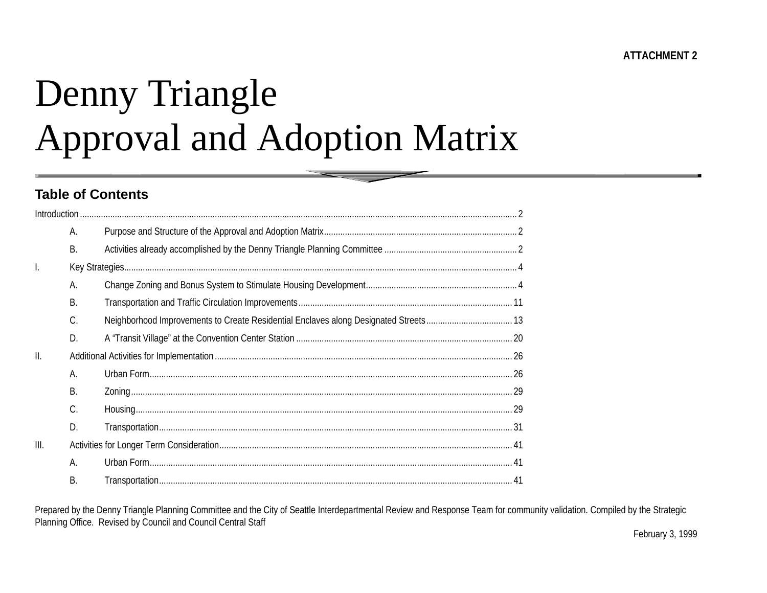# Denny Triangle Approval and Adoption Matrix

#### **Table of Contents**

|      | А.        |  |  |  |  |  |  |
|------|-----------|--|--|--|--|--|--|
|      | <b>B.</b> |  |  |  |  |  |  |
| I.   |           |  |  |  |  |  |  |
|      | А.        |  |  |  |  |  |  |
|      | <b>B.</b> |  |  |  |  |  |  |
|      | C.        |  |  |  |  |  |  |
|      | D.        |  |  |  |  |  |  |
| Ш.   |           |  |  |  |  |  |  |
|      | А.        |  |  |  |  |  |  |
|      | В.        |  |  |  |  |  |  |
|      | C.        |  |  |  |  |  |  |
|      | D.        |  |  |  |  |  |  |
| III. |           |  |  |  |  |  |  |
|      | А.        |  |  |  |  |  |  |
|      | <b>B.</b> |  |  |  |  |  |  |

Prepared by the Denny Triangle Planning Committee and the City of Seattle Interdepartmental Review and Response Team for community validation. Compiled by the Strategic Planning Office. Revised by Council and Council Central Staff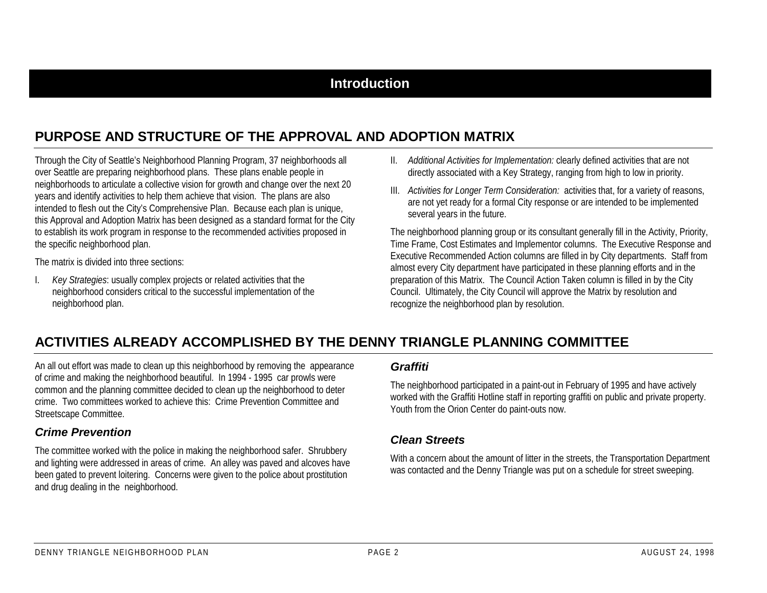### **Introduction**

# **PURPOSE AND STRUCTURE OF THE APPROVAL AND ADOPTION MATRIX**

Through the City of Seattle's Neighborhood Planning Program, 37 neighborhoods all over Seattle are preparing neighborhood plans. These plans enable people in neighborhoods to articulate a collective vision for growth and change over the next 20 years and identify activities to help them achieve that vision. The plans are also intended to flesh out the City's Comprehensive Plan. Because each plan is unique, this Approval and Adoption Matrix has been designed as a standard format for the City to establish its work program in response to the recommended activities proposed in the specific neighborhood plan.

The matrix is divided into three sections:

I. *Key Strategies*: usually complex projects or related activities that the neighborhood considers critical to the successful implementation of the neighborhood plan.

- II. *Additional Activities for Implementation:* clearly defined activities that are not directly associated with a Key Strategy, ranging from high to low in priority.
- III. *Activities for Longer Term Consideration:* activities that, for a variety of reasons, are not yet ready for a formal City response or are intended to be implemented several years in the future.

The neighborhood planning group or its consultant generally fill in the Activity, Priority, Time Frame, Cost Estimates and Implementor columns. The Executive Response and Executive Recommended Action columns are filled in by City departments. Staff from almost every City department have participated in these planning efforts and in the preparation of this Matrix. The Council Action Taken column is filled in by the City Council. Ultimately, the City Council will approve the Matrix by resolution and recognize the neighborhood plan by resolution.

## **ACTIVITIES ALREADY ACCOMPLISHED BY THE DENNY TRIANGLE PLANNING COMMITTEE**

An all out effort was made to clean up this neighborhood by removing the appearance of crime and making the neighborhood beautiful. In 1994 - 1995 car prowls were common and the planning committee decided to clean up the neighborhood to deter crime. Two committees worked to achieve this: Crime Prevention Committee and Streetscape Committee.

#### *Crime Prevention*

The committee worked with the police in making the neighborhood safer. Shrubbery and lighting were addressed in areas of crime. An alley was paved and alcoves have been gated to prevent loitering. Concerns were given to the police about prostitution and drug dealing in the neighborhood.

#### *Graffiti*

The neighborhood participated in a paint-out in February of 1995 and have actively worked with the Graffiti Hotline staff in reporting graffiti on public and private property. Youth from the Orion Center do paint-outs now.

#### *Clean Streets*

With a concern about the amount of litter in the streets, the Transportation Department was contacted and the Denny Triangle was put on a schedule for street sweeping.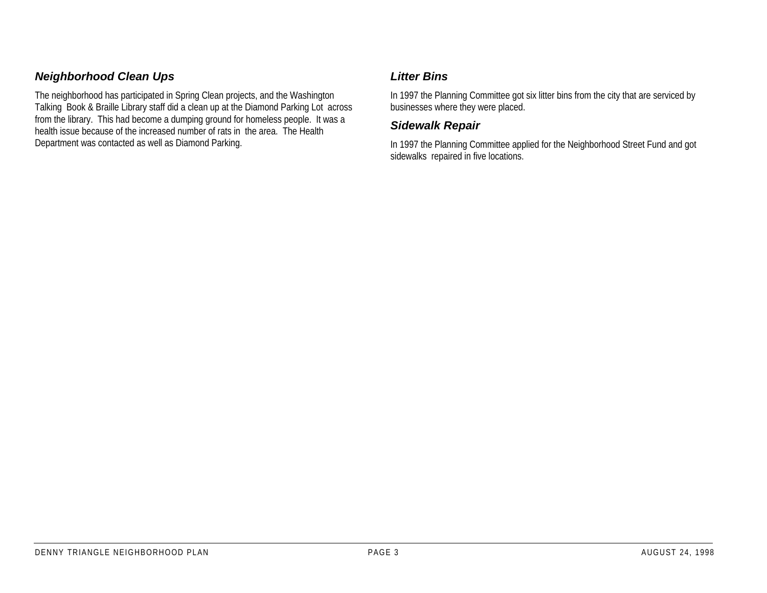#### *Neighborhood Clean Ups*

The neighborhood has participated in Spring Clean projects, and the Washington Talking Book & Braille Library staff did a clean up at the Diamond Parking Lot across from the library. This had become a dumping ground for homeless people. It was a health issue because of the increased number of rats in the area. The HealthDepartment was contacted as well as Diamond Parking.

#### *Litter Bins*

In 1997 the Planning Committee got six litter bins from the city that are serviced by businesses where they were placed.

#### *Sidewalk Repair*

In 1997 the Planning Committee applied for the Neighborhood Street Fund and got sidewalks repaired in five locations.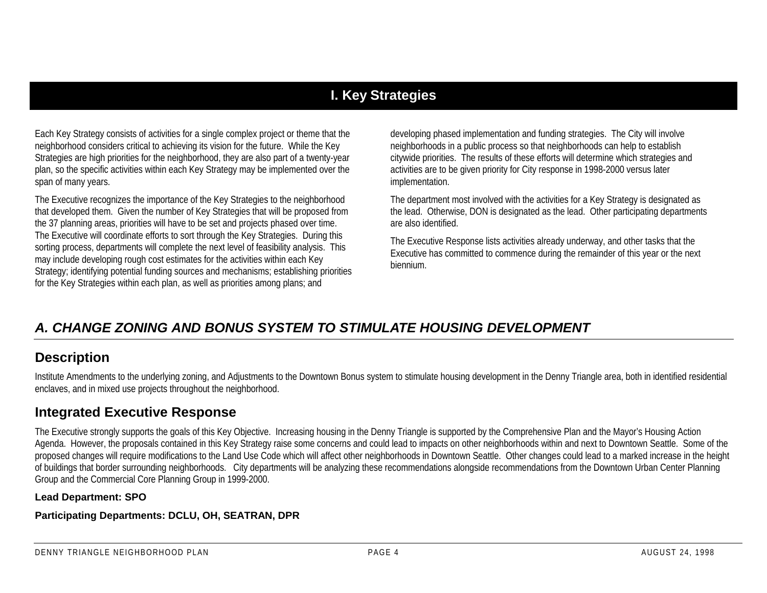# **I. Key Strategies**

Each Key Strategy consists of activities for a single complex project or theme that the neighborhood considers critical to achieving its vision for the future. While the Key Strategies are high priorities for the neighborhood, they are also part of a twenty-year plan, so the specific activities within each Key Strategy may be implemented over the span of many years.

The Executive recognizes the importance of the Key Strategies to the neighborhood that developed them. Given the number of Key Strategies that will be proposed from the 37 planning areas, priorities will have to be set and projects phased over time. The Executive will coordinate efforts to sort through the Key Strategies. During this sorting process, departments will complete the next level of feasibility analysis. This may include developing rough cost estimates for the activities within each Key Strategy; identifying potential funding sources and mechanisms; establishing priorities for the Key Strategies within each plan, as well as priorities among plans; and

developing phased implementation and funding strategies. The City will involve neighborhoods in a public process so that neighborhoods can help to establish citywide priorities. The results of these efforts will determine which strategies and activities are to be given priority for City response in 1998-2000 versus later implementation.

The department most involved with the activities for a Key Strategy is designated as the lead. Otherwise, DON is designated as the lead. Other participating departments are also identified.

The Executive Response lists activities already underway, and other tasks that the Executive has committed to commence during the remainder of this year or the next biennium.

# *A. CHANGE ZONING AND BONUS SYSTEM TO STIMULATE HOUSING DEVELOPMENT*

#### **Description**

Institute Amendments to the underlying zoning, and Adjustments to the Downtown Bonus system to stimulate housing development in the Denny Triangle area, both in identified residential enclaves, and in mixed use projects throughout the neighborhood.

## **Integrated Executive Response**

The Executive strongly supports the goals of this Key Objective. Increasing housing in the Denny Triangle is supported by the Comprehensive Plan and the Mayor's Housing Action Agenda. However, the proposals contained in this Key Strategy raise some concerns and could lead to impacts on other neighborhoods within and next to Downtown Seattle. Some of the proposed changes will require modifications to the Land Use Code which will affect other neighborhoods in Downtown Seattle. Other changes could lead to a marked increase in the height of buildings that border surrounding neighborhoods. City departments will be analyzing these recommendations alongside recommendations from the Downtown Urban Center Planning Group and the Commercial Core Planning Group in 1999-2000.

#### **Lead Department: SPO**

**Participating Departments: DCLU, OH, SEATRAN, DPR**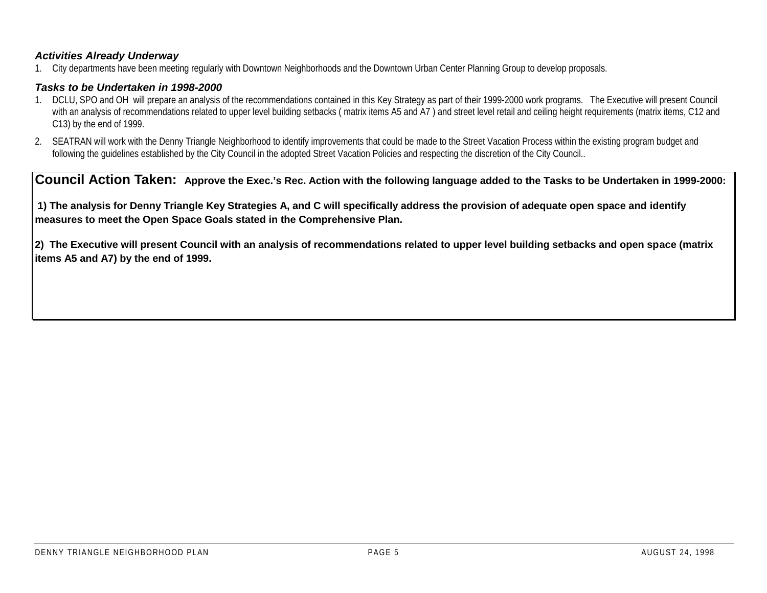#### *Activities Already Underway*

1. City departments have been meeting regularly with Downtown Neighborhoods and the Downtown Urban Center Planning Group to develop proposals.

#### *Tasks to be Undertaken in 1998-2000*

- 1. DCLU, SPO and OH will prepare an analysis of the recommendations contained in this Key Strategy as part of their 1999-2000 work programs. The Executive will present Council with an analysis of recommendations related to upper level building setbacks (matrix items A5 and A7) and street level retail and ceiling height requirements (matrix items, C12 and C13) by the end of 1999.
- 2. SEATRAN will work with the Denny Triangle Neighborhood to identify improvements that could be made to the Street Vacation Process within the existing program budget and following the guidelines established by the City Council in the adopted Street Vacation Policies and respecting the discretion of the City Council..

**Council Action Taken: Approve the Exec.'s Rec. Action with the following language added to the Tasks to be Undertaken in 1999-2000:**

 **1) The analysis for Denny Triangle Key Strategies A, and C will specifically address the provision of adequate open space and identify measures to meet the Open Space Goals stated in the Comprehensive Plan.**

**2) The Executive will present Council with an analysis of recommendations related to upper level building setbacks and open space (matrix items A5 and A7) by the end of 1999.**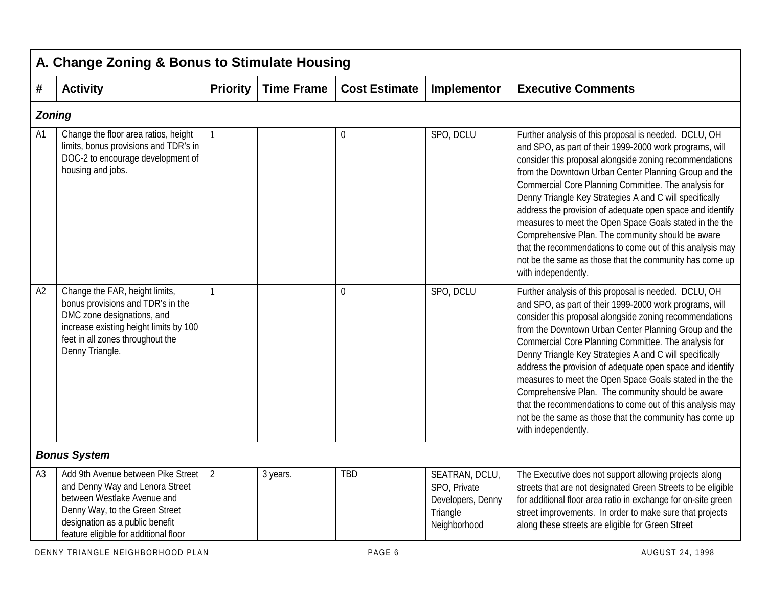|                | A. Change Zoning & Bonus to Stimulate Housing                                                                                                                                                                      |                 |                   |                      |                                                                                 |                                                                                                                                                                                                                                                                                                                                                                                                                                                                                                                                                                                                                                                                                     |  |  |  |  |  |
|----------------|--------------------------------------------------------------------------------------------------------------------------------------------------------------------------------------------------------------------|-----------------|-------------------|----------------------|---------------------------------------------------------------------------------|-------------------------------------------------------------------------------------------------------------------------------------------------------------------------------------------------------------------------------------------------------------------------------------------------------------------------------------------------------------------------------------------------------------------------------------------------------------------------------------------------------------------------------------------------------------------------------------------------------------------------------------------------------------------------------------|--|--|--|--|--|
| #              | <b>Activity</b>                                                                                                                                                                                                    | <b>Priority</b> | <b>Time Frame</b> | <b>Cost Estimate</b> | Implementor                                                                     | <b>Executive Comments</b>                                                                                                                                                                                                                                                                                                                                                                                                                                                                                                                                                                                                                                                           |  |  |  |  |  |
|                | <b>Zoning</b>                                                                                                                                                                                                      |                 |                   |                      |                                                                                 |                                                                                                                                                                                                                                                                                                                                                                                                                                                                                                                                                                                                                                                                                     |  |  |  |  |  |
| A <sub>1</sub> | Change the floor area ratios, height<br>limits, bonus provisions and TDR's in<br>DOC-2 to encourage development of<br>housing and jobs.                                                                            | $\mathbf{1}$    |                   | $\boldsymbol{0}$     | SPO, DCLU                                                                       | Further analysis of this proposal is needed. DCLU, OH<br>and SPO, as part of their 1999-2000 work programs, will<br>consider this proposal alongside zoning recommendations<br>from the Downtown Urban Center Planning Group and the<br>Commercial Core Planning Committee. The analysis for<br>Denny Triangle Key Strategies A and C will specifically<br>address the provision of adequate open space and identify<br>measures to meet the Open Space Goals stated in the the<br>Comprehensive Plan. The community should be aware<br>that the recommendations to come out of this analysis may<br>not be the same as those that the community has come up<br>with independently. |  |  |  |  |  |
| A2             | Change the FAR, height limits,<br>bonus provisions and TDR's in the<br>DMC zone designations, and<br>increase existing height limits by 100<br>feet in all zones throughout the<br>Denny Triangle.                 | $\mathbf{1}$    |                   | $\mathbf 0$          | SPO, DCLU                                                                       | Further analysis of this proposal is needed. DCLU, OH<br>and SPO, as part of their 1999-2000 work programs, will<br>consider this proposal alongside zoning recommendations<br>from the Downtown Urban Center Planning Group and the<br>Commercial Core Planning Committee. The analysis for<br>Denny Triangle Key Strategies A and C will specifically<br>address the provision of adequate open space and identify<br>measures to meet the Open Space Goals stated in the the<br>Comprehensive Plan. The community should be aware<br>that the recommendations to come out of this analysis may<br>not be the same as those that the community has come up<br>with independently. |  |  |  |  |  |
|                | <b>Bonus System</b>                                                                                                                                                                                                |                 |                   |                      |                                                                                 |                                                                                                                                                                                                                                                                                                                                                                                                                                                                                                                                                                                                                                                                                     |  |  |  |  |  |
| A3             | Add 9th Avenue between Pike Street<br>and Denny Way and Lenora Street<br>between Westlake Avenue and<br>Denny Way, to the Green Street<br>designation as a public benefit<br>feature eligible for additional floor | $\overline{2}$  | 3 years.          | <b>TBD</b>           | SEATRAN, DCLU,<br>SPO, Private<br>Developers, Denny<br>Triangle<br>Neighborhood | The Executive does not support allowing projects along<br>streets that are not designated Green Streets to be eligible<br>for additional floor area ratio in exchange for on-site green<br>street improvements. In order to make sure that projects<br>along these streets are eligible for Green Street                                                                                                                                                                                                                                                                                                                                                                            |  |  |  |  |  |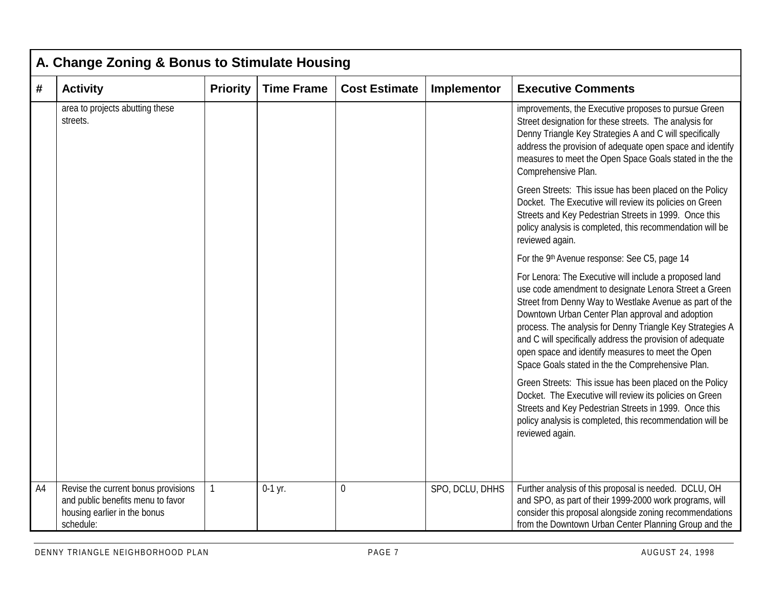|    | A. Change Zoning & Bonus to Stimulate Housing                                                                         |                 |                   |                      |                 |                                                                                                                                                                                                                                                                                                                                                                                                                                                                    |  |  |  |  |  |
|----|-----------------------------------------------------------------------------------------------------------------------|-----------------|-------------------|----------------------|-----------------|--------------------------------------------------------------------------------------------------------------------------------------------------------------------------------------------------------------------------------------------------------------------------------------------------------------------------------------------------------------------------------------------------------------------------------------------------------------------|--|--|--|--|--|
| #  | <b>Activity</b>                                                                                                       | <b>Priority</b> | <b>Time Frame</b> | <b>Cost Estimate</b> | Implementor     | <b>Executive Comments</b>                                                                                                                                                                                                                                                                                                                                                                                                                                          |  |  |  |  |  |
|    | area to projects abutting these<br>streets.                                                                           |                 |                   |                      |                 | improvements, the Executive proposes to pursue Green<br>Street designation for these streets. The analysis for<br>Denny Triangle Key Strategies A and C will specifically<br>address the provision of adequate open space and identify<br>measures to meet the Open Space Goals stated in the the<br>Comprehensive Plan.                                                                                                                                           |  |  |  |  |  |
|    |                                                                                                                       |                 |                   |                      |                 | Green Streets: This issue has been placed on the Policy<br>Docket. The Executive will review its policies on Green<br>Streets and Key Pedestrian Streets in 1999. Once this<br>policy analysis is completed, this recommendation will be<br>reviewed again.                                                                                                                                                                                                        |  |  |  |  |  |
|    |                                                                                                                       |                 |                   |                      |                 | For the 9th Avenue response: See C5, page 14                                                                                                                                                                                                                                                                                                                                                                                                                       |  |  |  |  |  |
|    |                                                                                                                       |                 |                   |                      |                 | For Lenora: The Executive will include a proposed land<br>use code amendment to designate Lenora Street a Green<br>Street from Denny Way to Westlake Avenue as part of the<br>Downtown Urban Center Plan approval and adoption<br>process. The analysis for Denny Triangle Key Strategies A<br>and C will specifically address the provision of adequate<br>open space and identify measures to meet the Open<br>Space Goals stated in the the Comprehensive Plan. |  |  |  |  |  |
|    |                                                                                                                       |                 |                   |                      |                 | Green Streets: This issue has been placed on the Policy<br>Docket. The Executive will review its policies on Green<br>Streets and Key Pedestrian Streets in 1999. Once this<br>policy analysis is completed, this recommendation will be<br>reviewed again.                                                                                                                                                                                                        |  |  |  |  |  |
| A4 | Revise the current bonus provisions<br>and public benefits menu to favor<br>housing earlier in the bonus<br>schedule: | $\mathbf{1}$    | $0-1$ yr.         | 0                    | SPO, DCLU, DHHS | Further analysis of this proposal is needed. DCLU, OH<br>and SPO, as part of their 1999-2000 work programs, will<br>consider this proposal alongside zoning recommendations<br>from the Downtown Urban Center Planning Group and the                                                                                                                                                                                                                               |  |  |  |  |  |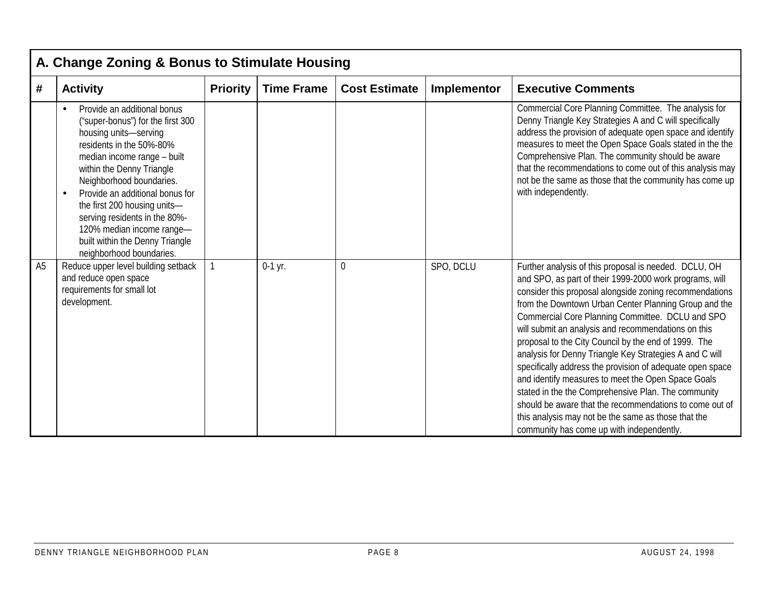|                | A. Change Zoning & Bonus to Stimulate Housing                                                                                                                                                                                                                                                                                                                                                                 |                 |                   |                      |             |                                                                                                                                                                                                                                                                                                                                                                                                                                                                                                                                                                                                                                                                                                                                                                                                             |  |  |  |  |  |
|----------------|---------------------------------------------------------------------------------------------------------------------------------------------------------------------------------------------------------------------------------------------------------------------------------------------------------------------------------------------------------------------------------------------------------------|-----------------|-------------------|----------------------|-------------|-------------------------------------------------------------------------------------------------------------------------------------------------------------------------------------------------------------------------------------------------------------------------------------------------------------------------------------------------------------------------------------------------------------------------------------------------------------------------------------------------------------------------------------------------------------------------------------------------------------------------------------------------------------------------------------------------------------------------------------------------------------------------------------------------------------|--|--|--|--|--|
| #              | <b>Activity</b>                                                                                                                                                                                                                                                                                                                                                                                               | <b>Priority</b> | <b>Time Frame</b> | <b>Cost Estimate</b> | Implementor | <b>Executive Comments</b>                                                                                                                                                                                                                                                                                                                                                                                                                                                                                                                                                                                                                                                                                                                                                                                   |  |  |  |  |  |
|                | Provide an additional bonus<br>("super-bonus") for the first 300<br>housing units-serving<br>residents in the 50%-80%<br>median income range - built<br>within the Denny Triangle<br>Neighborhood boundaries.<br>Provide an additional bonus for<br>the first 200 housing units-<br>serving residents in the 80%-<br>120% median income range-<br>built within the Denny Triangle<br>neighborhood boundaries. |                 |                   |                      |             | Commercial Core Planning Committee. The analysis for<br>Denny Triangle Key Strategies A and C will specifically<br>address the provision of adequate open space and identify<br>measures to meet the Open Space Goals stated in the the<br>Comprehensive Plan. The community should be aware<br>that the recommendations to come out of this analysis may<br>not be the same as those that the community has come up<br>with independently.                                                                                                                                                                                                                                                                                                                                                                 |  |  |  |  |  |
| A <sub>5</sub> | Reduce upper level building setback<br>and reduce open space<br>requirements for small lot<br>development.                                                                                                                                                                                                                                                                                                    |                 | $0-1$ yr.         | 0                    | SPO, DCLU   | Further analysis of this proposal is needed. DCLU, OH<br>and SPO, as part of their 1999-2000 work programs, will<br>consider this proposal alongside zoning recommendations<br>from the Downtown Urban Center Planning Group and the<br>Commercial Core Planning Committee. DCLU and SPO<br>will submit an analysis and recommendations on this<br>proposal to the City Council by the end of 1999. The<br>analysis for Denny Triangle Key Strategies A and C will<br>specifically address the provision of adequate open space<br>and identify measures to meet the Open Space Goals<br>stated in the the Comprehensive Plan. The community<br>should be aware that the recommendations to come out of<br>this analysis may not be the same as those that the<br>community has come up with independently. |  |  |  |  |  |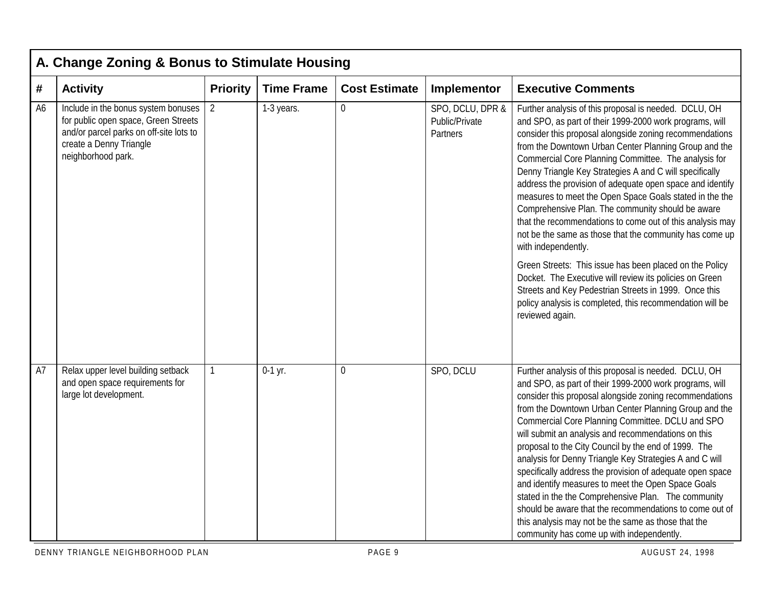|                | A. Change Zoning & Bonus to Stimulate Housing                                                                                                                           |                 |                   |                      |                                                |                                                                                                                                                                                                                                                                                                                                                                                                                                                                                                                                                                                                                                                                                                                                                                                                                                                                                                                                                    |  |  |  |  |  |
|----------------|-------------------------------------------------------------------------------------------------------------------------------------------------------------------------|-----------------|-------------------|----------------------|------------------------------------------------|----------------------------------------------------------------------------------------------------------------------------------------------------------------------------------------------------------------------------------------------------------------------------------------------------------------------------------------------------------------------------------------------------------------------------------------------------------------------------------------------------------------------------------------------------------------------------------------------------------------------------------------------------------------------------------------------------------------------------------------------------------------------------------------------------------------------------------------------------------------------------------------------------------------------------------------------------|--|--|--|--|--|
| #              | <b>Activity</b>                                                                                                                                                         | <b>Priority</b> | <b>Time Frame</b> | <b>Cost Estimate</b> | Implementor                                    | <b>Executive Comments</b>                                                                                                                                                                                                                                                                                                                                                                                                                                                                                                                                                                                                                                                                                                                                                                                                                                                                                                                          |  |  |  |  |  |
| A <sub>6</sub> | Include in the bonus system bonuses<br>for public open space, Green Streets<br>and/or parcel parks on off-site lots to<br>create a Denny Triangle<br>neighborhood park. | 2               | 1-3 years.        | $\mathbf 0$          | SPO, DCLU, DPR &<br>Public/Private<br>Partners | Further analysis of this proposal is needed. DCLU, OH<br>and SPO, as part of their 1999-2000 work programs, will<br>consider this proposal alongside zoning recommendations<br>from the Downtown Urban Center Planning Group and the<br>Commercial Core Planning Committee. The analysis for<br>Denny Triangle Key Strategies A and C will specifically<br>address the provision of adequate open space and identify<br>measures to meet the Open Space Goals stated in the the<br>Comprehensive Plan. The community should be aware<br>that the recommendations to come out of this analysis may<br>not be the same as those that the community has come up<br>with independently.<br>Green Streets: This issue has been placed on the Policy<br>Docket. The Executive will review its policies on Green<br>Streets and Key Pedestrian Streets in 1999. Once this<br>policy analysis is completed, this recommendation will be<br>reviewed again. |  |  |  |  |  |
| A7             | Relax upper level building setback<br>and open space requirements for<br>large lot development.                                                                         | $\mathbf{1}$    | $0-1$ yr.         | $\overline{0}$       | SPO, DCLU                                      | Further analysis of this proposal is needed. DCLU, OH<br>and SPO, as part of their 1999-2000 work programs, will<br>consider this proposal alongside zoning recommendations<br>from the Downtown Urban Center Planning Group and the<br>Commercial Core Planning Committee. DCLU and SPO<br>will submit an analysis and recommendations on this<br>proposal to the City Council by the end of 1999. The<br>analysis for Denny Triangle Key Strategies A and C will<br>specifically address the provision of adequate open space<br>and identify measures to meet the Open Space Goals<br>stated in the the Comprehensive Plan. The community<br>should be aware that the recommendations to come out of<br>this analysis may not be the same as those that the<br>community has come up with independently.                                                                                                                                        |  |  |  |  |  |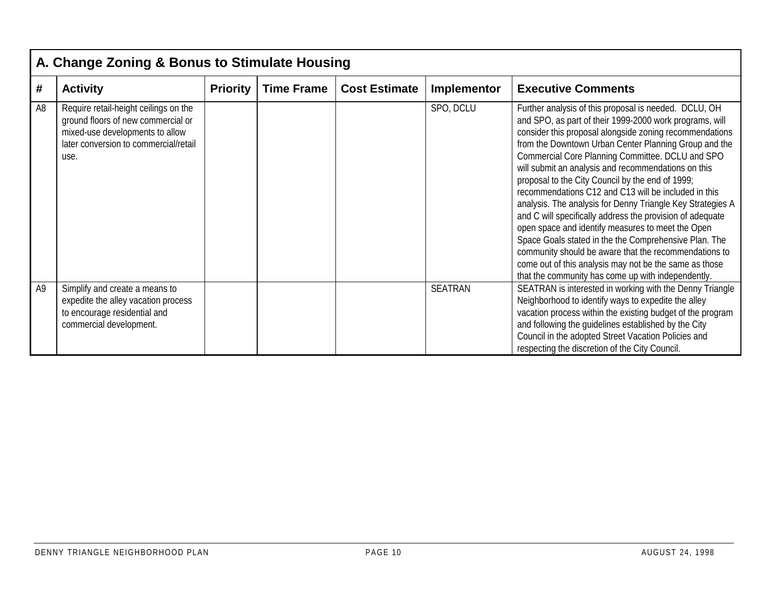|                | A. Change Zoning & Bonus to Stimulate Housing                                                                                                                   |                 |                   |                      |                |                                                                                                                                                                                                                                                                                                                                                                                                                                                                                                                                                                                                                                                                                                                                                                                                                                                                               |  |  |  |  |  |
|----------------|-----------------------------------------------------------------------------------------------------------------------------------------------------------------|-----------------|-------------------|----------------------|----------------|-------------------------------------------------------------------------------------------------------------------------------------------------------------------------------------------------------------------------------------------------------------------------------------------------------------------------------------------------------------------------------------------------------------------------------------------------------------------------------------------------------------------------------------------------------------------------------------------------------------------------------------------------------------------------------------------------------------------------------------------------------------------------------------------------------------------------------------------------------------------------------|--|--|--|--|--|
| #              | <b>Activity</b>                                                                                                                                                 | <b>Priority</b> | <b>Time Frame</b> | <b>Cost Estimate</b> | Implementor    | <b>Executive Comments</b>                                                                                                                                                                                                                                                                                                                                                                                                                                                                                                                                                                                                                                                                                                                                                                                                                                                     |  |  |  |  |  |
| A <sub>8</sub> | Require retail-height ceilings on the<br>ground floors of new commercial or<br>mixed-use developments to allow<br>later conversion to commercial/retail<br>use. |                 |                   |                      | SPO, DCLU      | Further analysis of this proposal is needed. DCLU, OH<br>and SPO, as part of their 1999-2000 work programs, will<br>consider this proposal alongside zoning recommendations<br>from the Downtown Urban Center Planning Group and the<br>Commercial Core Planning Committee. DCLU and SPO<br>will submit an analysis and recommendations on this<br>proposal to the City Council by the end of 1999;<br>recommendations C12 and C13 will be included in this<br>analysis. The analysis for Denny Triangle Key Strategies A<br>and C will specifically address the provision of adequate<br>open space and identify measures to meet the Open<br>Space Goals stated in the the Comprehensive Plan. The<br>community should be aware that the recommendations to<br>come out of this analysis may not be the same as those<br>that the community has come up with independently. |  |  |  |  |  |
| A <sub>9</sub> | Simplify and create a means to<br>expedite the alley vacation process<br>to encourage residential and<br>commercial development.                                |                 |                   |                      | <b>SEATRAN</b> | SEATRAN is interested in working with the Denny Triangle<br>Neighborhood to identify ways to expedite the alley<br>vacation process within the existing budget of the program<br>and following the guidelines established by the City<br>Council in the adopted Street Vacation Policies and<br>respecting the discretion of the City Council.                                                                                                                                                                                                                                                                                                                                                                                                                                                                                                                                |  |  |  |  |  |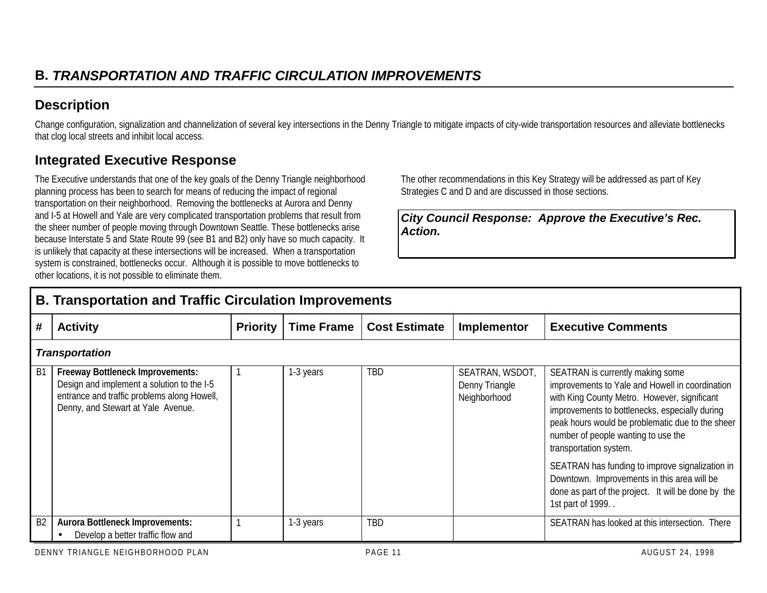## **Description**

Change configuration, signalization and channelization of several key intersections in the Denny Triangle to mitigate impacts of city-wide transportation resources and alleviate bottlenecks that clog local streets and inhibit local access.

## **Integrated Executive Response**

The Executive understands that one of the key goals of the Denny Triangle neighborhood planning process has been to search for means of reducing the impact of regional transportation on their neighborhood. Removing the bottlenecks at Aurora and Denny and I-5 at Howell and Yale are very complicated transportation problems that result from the sheer number of people moving through Downtown Seattle. These bottlenecks arise because Interstate 5 and State Route 99 (see B1 and B2) only have so much capacity. It is unlikely that capacity at these intersections will be increased. When a transportation system is constrained, bottlenecks occur. Although it is possible to move bottlenecks to other locations, it is not possible to eliminate them.

The other recommendations in this Key Strategy will be addressed as part of Key Strategies C and D and are discussed in those sections.

*City Council Response: Approve the Executive's Rec. Action.*

|                | <b>B. Transportation and Traffic Circulation Improvements</b>                                                                                                              |                 |                   |                      |                                                   |                                                                                                                                                                                                                                                                                                                                                                                                                                                                                            |  |  |  |  |
|----------------|----------------------------------------------------------------------------------------------------------------------------------------------------------------------------|-----------------|-------------------|----------------------|---------------------------------------------------|--------------------------------------------------------------------------------------------------------------------------------------------------------------------------------------------------------------------------------------------------------------------------------------------------------------------------------------------------------------------------------------------------------------------------------------------------------------------------------------------|--|--|--|--|
| #              | <b>Activity</b>                                                                                                                                                            | <b>Priority</b> | <b>Time Frame</b> | <b>Cost Estimate</b> | Implementor                                       | <b>Executive Comments</b>                                                                                                                                                                                                                                                                                                                                                                                                                                                                  |  |  |  |  |
|                | <b>Transportation</b>                                                                                                                                                      |                 |                   |                      |                                                   |                                                                                                                                                                                                                                                                                                                                                                                                                                                                                            |  |  |  |  |
| B <sub>1</sub> | <b>Freeway Bottleneck Improvements:</b><br>Design and implement a solution to the I-5<br>entrance and traffic problems along Howell,<br>Denny, and Stewart at Yale Avenue. |                 | 1-3 years         | <b>TBD</b>           | SEATRAN, WSDOT,<br>Denny Triangle<br>Neighborhood | SEATRAN is currently making some<br>improvements to Yale and Howell in coordination<br>with King County Metro. However, significant<br>improvements to bottlenecks, especially during<br>peak hours would be problematic due to the sheer<br>number of people wanting to use the<br>transportation system.<br>SEATRAN has funding to improve signalization in<br>Downtown. Improvements in this area will be<br>done as part of the project. It will be done by the<br>1st part of 1999. . |  |  |  |  |
| B <sub>2</sub> | <b>Aurora Bottleneck Improvements:</b><br>Develop a better traffic flow and                                                                                                |                 | 1-3 years         | TBD                  |                                                   | SEATRAN has looked at this intersection. There                                                                                                                                                                                                                                                                                                                                                                                                                                             |  |  |  |  |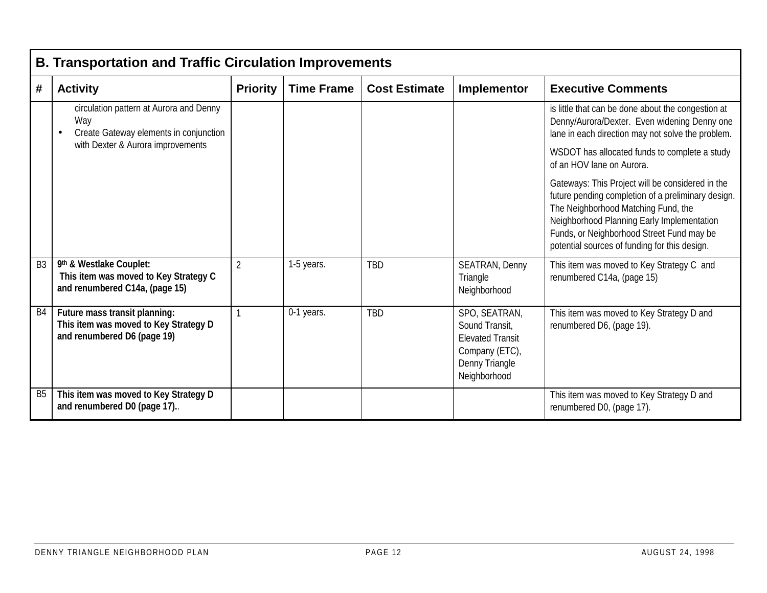|                | <b>B. Transportation and Traffic Circulation Improvements</b>                                         |                 |                   |                      |                                                                                                                |                                                                                                                                                                                                                                                                                           |  |  |  |
|----------------|-------------------------------------------------------------------------------------------------------|-----------------|-------------------|----------------------|----------------------------------------------------------------------------------------------------------------|-------------------------------------------------------------------------------------------------------------------------------------------------------------------------------------------------------------------------------------------------------------------------------------------|--|--|--|
| #              | <b>Activity</b>                                                                                       | <b>Priority</b> | <b>Time Frame</b> | <b>Cost Estimate</b> | Implementor                                                                                                    | <b>Executive Comments</b>                                                                                                                                                                                                                                                                 |  |  |  |
|                | circulation pattern at Aurora and Denny<br>Way<br>Create Gateway elements in conjunction              |                 |                   |                      |                                                                                                                | is little that can be done about the congestion at<br>Denny/Aurora/Dexter. Even widening Denny one<br>lane in each direction may not solve the problem.                                                                                                                                   |  |  |  |
|                | with Dexter & Aurora improvements                                                                     |                 |                   |                      |                                                                                                                | WSDOT has allocated funds to complete a study<br>of an HOV lane on Aurora.                                                                                                                                                                                                                |  |  |  |
|                |                                                                                                       |                 |                   |                      |                                                                                                                | Gateways: This Project will be considered in the<br>future pending completion of a preliminary design.<br>The Neighborhood Matching Fund, the<br>Neighborhood Planning Early Implementation<br>Funds, or Neighborhood Street Fund may be<br>potential sources of funding for this design. |  |  |  |
| B <sub>3</sub> | 9th & Westlake Couplet:<br>This item was moved to Key Strategy C<br>and renumbered C14a, (page 15)    | $\overline{2}$  | 1-5 years.        | <b>TBD</b>           | SEATRAN, Denny<br>Triangle<br>Neighborhood                                                                     | This item was moved to Key Strategy C and<br>renumbered C14a, (page 15)                                                                                                                                                                                                                   |  |  |  |
| B <sub>4</sub> | Future mass transit planning:<br>This item was moved to Key Strategy D<br>and renumbered D6 (page 19) |                 | 0-1 years.        | <b>TBD</b>           | SPO, SEATRAN,<br>Sound Transit,<br><b>Elevated Transit</b><br>Company (ETC),<br>Denny Triangle<br>Neighborhood | This item was moved to Key Strategy D and<br>renumbered D6, (page 19).                                                                                                                                                                                                                    |  |  |  |
| B <sub>5</sub> | This item was moved to Key Strategy D<br>and renumbered D0 (page 17)                                  |                 |                   |                      |                                                                                                                | This item was moved to Key Strategy D and<br>renumbered D0, (page 17).                                                                                                                                                                                                                    |  |  |  |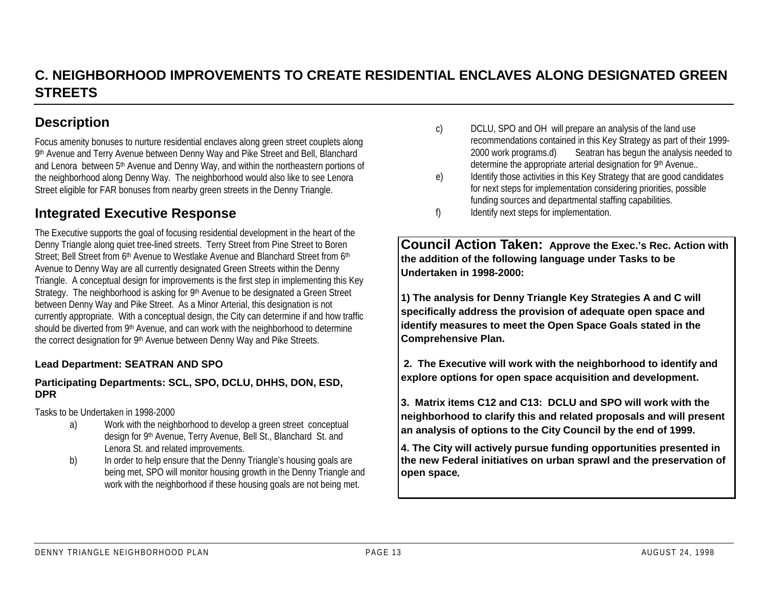## **C. NEIGHBORHOOD IMPROVEMENTS TO CREATE RESIDENTIAL ENCLAVES ALONG DESIGNATED GREENSTREETS**

## **Description**

Focus amenity bonuses to nurture residential enclaves along green street couplets along 9th Avenue and Terry Avenue between Denny Way and Pike Street and Bell, Blanchard and Lenora between 5<sup>th</sup> Avenue and Denny Way, and within the northeastern portions of the neighborhood along Denny Way. The neighborhood would also like to see Lenora Street eligible for FAR bonuses from nearby green streets in the Denny Triangle.

## **Integrated Executive Response**

The Executive supports the goal of focusing residential development in the heart of the Denny Triangle along quiet tree-lined streets. Terry Street from Pine Street to Boren Street: Bell Street from 6th Avenue to Westlake Avenue and Blanchard Street from 6th Avenue to Denny Way are all currently designated Green Streets within the Denny Triangle. A conceptual design for improvements is the first step in implementing this Key Strategy. The neighborhood is asking for 9<sup>th</sup> Avenue to be designated a Green Street between Denny Way and Pike Street. As a Minor Arterial, this designation is not currently appropriate. With a conceptual design, the City can determine if and how traffic should be diverted from 9th Avenue, and can work with the neighborhood to determine the correct designation for 9th Avenue between Denny Way and Pike Streets.

#### **Lead Department: SEATRAN AND SPO**

#### **Participating Departments: SCL, SPO, DCLU, DHHS, DON, ESD, DPR**

Tasks to be Undertaken in 1998-2000

- a) Work with the neighborhood to develop a green street conceptual design for 9th Avenue, Terry Avenue, Bell St., Blanchard St. and Lenora St. and related improvements.
- b) In order to help ensure that the Denny Triangle's housing goals are being met, SPO will monitor housing growth in the Denny Triangle and work with the neighborhood if these housing goals are not being met.
- c) DCLU, SPO and OH will prepare an analysis of the land use recommendations contained in this Key Strategy as part of their 1999- 2000 work programs.d) Seatran has begun the analysis needed to determine the appropriate arterial designation for 9th Avenue..
- e) Identify those activities in this Key Strategy that are good candidates for next steps for implementation considering priorities, possible funding sources and departmental staffing capabilities.
- f) Identify next steps for implementation.

**Council Action Taken: Approve the Exec.'s Rec. Action with the addition of the following language under Tasks to be Undertaken in 1998-2000:**

**1) The analysis for Denny Triangle Key Strategies A and C will specifically address the provision of adequate open space and identify measures to meet the Open Space Goals stated in the Comprehensive Plan.**

 **2. The Executive will work with the neighborhood to identify and explore options for open space acquisition and development.**

**3. Matrix items C12 and C13: DCLU and SPO will work with theneighborhood to clarify this and related proposals and will present an analysis of options to the City Council by the end of 1999.**

**4. The City will actively pursue funding opportunities presented in the new Federal initiatives on urban sprawl and the preservation of open space***.*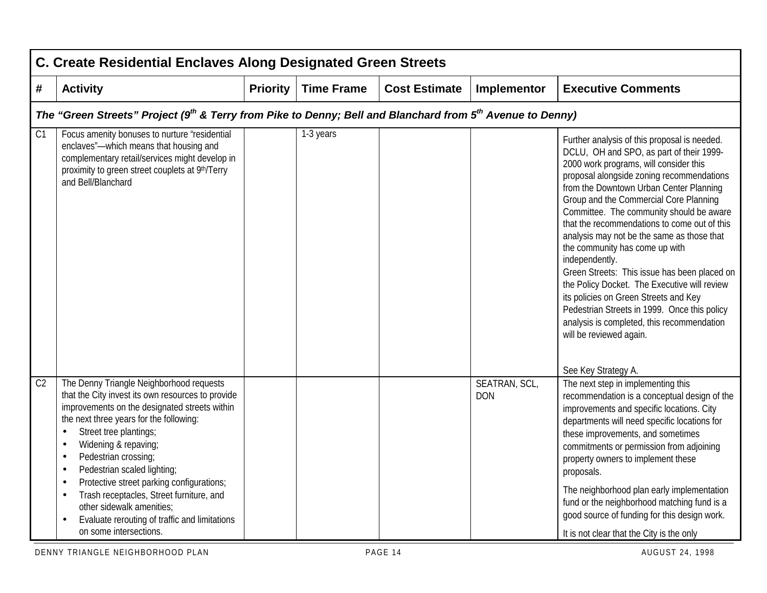|                | C. Create Residential Enclaves Along Designated Green Streets                                                                                                                                                                                                                                                                                                                                                                                                                                                                                                                                  |                 |                   |                      |                             |                                                                                                                                                                                                                                                                                                                                                                                                                                                                                                                                                                                                                                                                                                                                                             |  |  |  |  |
|----------------|------------------------------------------------------------------------------------------------------------------------------------------------------------------------------------------------------------------------------------------------------------------------------------------------------------------------------------------------------------------------------------------------------------------------------------------------------------------------------------------------------------------------------------------------------------------------------------------------|-----------------|-------------------|----------------------|-----------------------------|-------------------------------------------------------------------------------------------------------------------------------------------------------------------------------------------------------------------------------------------------------------------------------------------------------------------------------------------------------------------------------------------------------------------------------------------------------------------------------------------------------------------------------------------------------------------------------------------------------------------------------------------------------------------------------------------------------------------------------------------------------------|--|--|--|--|
| #              | <b>Activity</b>                                                                                                                                                                                                                                                                                                                                                                                                                                                                                                                                                                                | <b>Priority</b> | <b>Time Frame</b> | <b>Cost Estimate</b> | Implementor                 | <b>Executive Comments</b>                                                                                                                                                                                                                                                                                                                                                                                                                                                                                                                                                                                                                                                                                                                                   |  |  |  |  |
|                | The "Green Streets" Project (9 <sup>th</sup> & Terry from Pike to Denny; Bell and Blanchard from 5 <sup>th</sup> Avenue to Denny)                                                                                                                                                                                                                                                                                                                                                                                                                                                              |                 |                   |                      |                             |                                                                                                                                                                                                                                                                                                                                                                                                                                                                                                                                                                                                                                                                                                                                                             |  |  |  |  |
| C1             | Focus amenity bonuses to nurture "residential<br>enclaves"-which means that housing and<br>complementary retail/services might develop in<br>proximity to green street couplets at 9th/Terry<br>and Bell/Blanchard                                                                                                                                                                                                                                                                                                                                                                             |                 | 1-3 years         |                      |                             | Further analysis of this proposal is needed.<br>DCLU, OH and SPO, as part of their 1999-<br>2000 work programs, will consider this<br>proposal alongside zoning recommendations<br>from the Downtown Urban Center Planning<br>Group and the Commercial Core Planning<br>Committee. The community should be aware<br>that the recommendations to come out of this<br>analysis may not be the same as those that<br>the community has come up with<br>independently.<br>Green Streets: This issue has been placed on<br>the Policy Docket. The Executive will review<br>its policies on Green Streets and Key<br>Pedestrian Streets in 1999. Once this policy<br>analysis is completed, this recommendation<br>will be reviewed again.<br>See Key Strategy A. |  |  |  |  |
| C <sub>2</sub> | The Denny Triangle Neighborhood requests<br>that the City invest its own resources to provide<br>improvements on the designated streets within<br>the next three years for the following:<br>Street tree plantings;<br>$\bullet$<br>Widening & repaving;<br>$\bullet$<br>Pedestrian crossing;<br>$\bullet$<br>Pedestrian scaled lighting;<br>$\bullet$<br>Protective street parking configurations;<br>$\bullet$<br>Trash receptacles, Street furniture, and<br>$\bullet$<br>other sidewalk amenities;<br>Evaluate rerouting of traffic and limitations<br>$\bullet$<br>on some intersections. |                 |                   |                      | SEATRAN, SCL,<br><b>DON</b> | The next step in implementing this<br>recommendation is a conceptual design of the<br>improvements and specific locations. City<br>departments will need specific locations for<br>these improvements, and sometimes<br>commitments or permission from adjoining<br>property owners to implement these<br>proposals.<br>The neighborhood plan early implementation<br>fund or the neighborhood matching fund is a<br>good source of funding for this design work.<br>It is not clear that the City is the only                                                                                                                                                                                                                                              |  |  |  |  |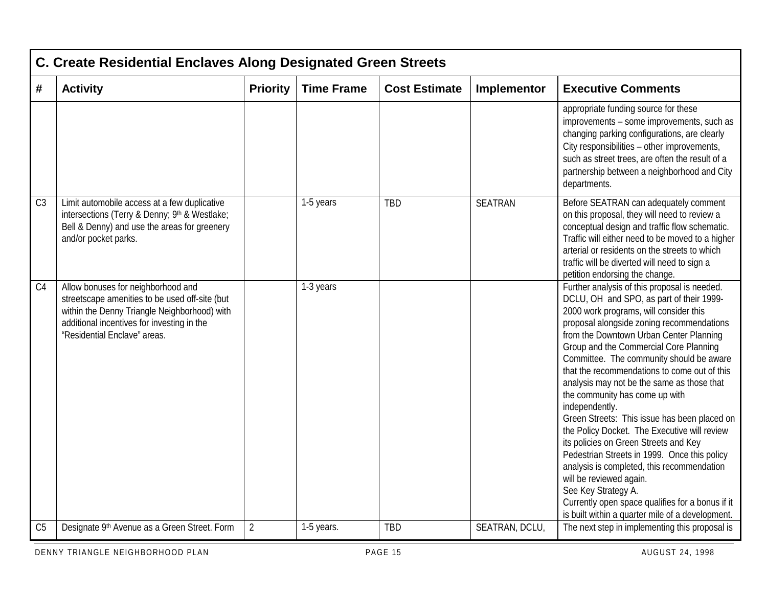|                | C. Create Residential Enclaves Along Designated Green Streets                                                                                                                                                      |                 |                   |                      |                |                                                                                                                                                                                                                                                                                                                                                                                                                                                                                                                                                                                                                                                                                                                                                                                                                                                                     |  |  |  |  |
|----------------|--------------------------------------------------------------------------------------------------------------------------------------------------------------------------------------------------------------------|-----------------|-------------------|----------------------|----------------|---------------------------------------------------------------------------------------------------------------------------------------------------------------------------------------------------------------------------------------------------------------------------------------------------------------------------------------------------------------------------------------------------------------------------------------------------------------------------------------------------------------------------------------------------------------------------------------------------------------------------------------------------------------------------------------------------------------------------------------------------------------------------------------------------------------------------------------------------------------------|--|--|--|--|
| #              | <b>Activity</b>                                                                                                                                                                                                    | <b>Priority</b> | <b>Time Frame</b> | <b>Cost Estimate</b> | Implementor    | <b>Executive Comments</b>                                                                                                                                                                                                                                                                                                                                                                                                                                                                                                                                                                                                                                                                                                                                                                                                                                           |  |  |  |  |
|                |                                                                                                                                                                                                                    |                 |                   |                      |                | appropriate funding source for these<br>improvements - some improvements, such as<br>changing parking configurations, are clearly<br>City responsibilities - other improvements,<br>such as street trees, are often the result of a<br>partnership between a neighborhood and City<br>departments.                                                                                                                                                                                                                                                                                                                                                                                                                                                                                                                                                                  |  |  |  |  |
| C <sub>3</sub> | Limit automobile access at a few duplicative<br>intersections (Terry & Denny; 9th & Westlake;<br>Bell & Denny) and use the areas for greenery<br>and/or pocket parks.                                              |                 | 1-5 years         | <b>TBD</b>           | <b>SEATRAN</b> | Before SEATRAN can adequately comment<br>on this proposal, they will need to review a<br>conceptual design and traffic flow schematic.<br>Traffic will either need to be moved to a higher<br>arterial or residents on the streets to which<br>traffic will be diverted will need to sign a<br>petition endorsing the change.                                                                                                                                                                                                                                                                                                                                                                                                                                                                                                                                       |  |  |  |  |
| C <sub>4</sub> | Allow bonuses for neighborhood and<br>streetscape amenities to be used off-site (but<br>within the Denny Triangle Neighborhood) with<br>additional incentives for investing in the<br>"Residential Enclave" areas. |                 | 1-3 years         |                      |                | Further analysis of this proposal is needed.<br>DCLU, OH and SPO, as part of their 1999-<br>2000 work programs, will consider this<br>proposal alongside zoning recommendations<br>from the Downtown Urban Center Planning<br>Group and the Commercial Core Planning<br>Committee. The community should be aware<br>that the recommendations to come out of this<br>analysis may not be the same as those that<br>the community has come up with<br>independently.<br>Green Streets: This issue has been placed on<br>the Policy Docket. The Executive will review<br>its policies on Green Streets and Key<br>Pedestrian Streets in 1999. Once this policy<br>analysis is completed, this recommendation<br>will be reviewed again.<br>See Key Strategy A.<br>Currently open space qualifies for a bonus if it<br>is built within a quarter mile of a development. |  |  |  |  |
| C <sub>5</sub> | Designate 9th Avenue as a Green Street. Form                                                                                                                                                                       | $\overline{2}$  | 1-5 years.        | <b>TBD</b>           | SEATRAN, DCLU, | The next step in implementing this proposal is                                                                                                                                                                                                                                                                                                                                                                                                                                                                                                                                                                                                                                                                                                                                                                                                                      |  |  |  |  |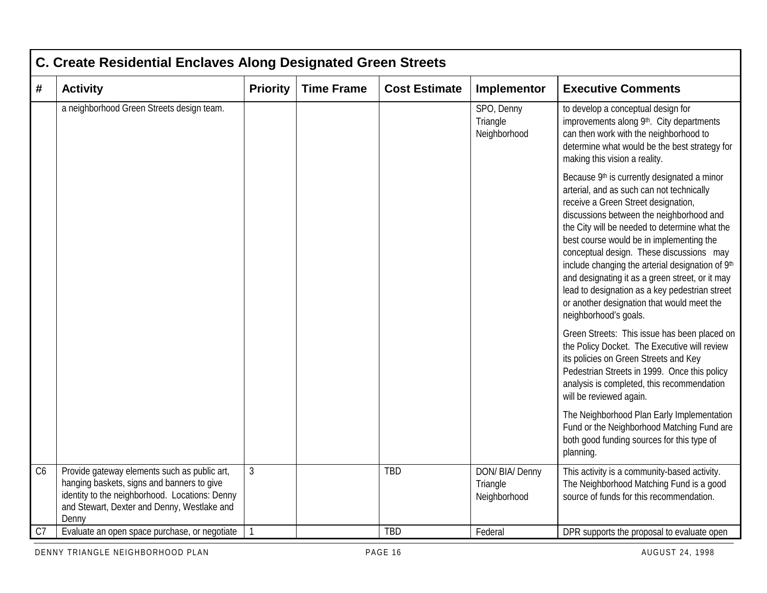|                | <b>C. Create Residential Enclaves Along Designated Green Streets</b>                                                                                                                                 |                 |                   |                      |                                             |                                                                                                                                                                                                                                                                                                                                                                                                                                                                                                                                                      |  |  |  |
|----------------|------------------------------------------------------------------------------------------------------------------------------------------------------------------------------------------------------|-----------------|-------------------|----------------------|---------------------------------------------|------------------------------------------------------------------------------------------------------------------------------------------------------------------------------------------------------------------------------------------------------------------------------------------------------------------------------------------------------------------------------------------------------------------------------------------------------------------------------------------------------------------------------------------------------|--|--|--|
| #              | <b>Activity</b>                                                                                                                                                                                      | <b>Priority</b> | <b>Time Frame</b> | <b>Cost Estimate</b> | Implementor                                 | <b>Executive Comments</b>                                                                                                                                                                                                                                                                                                                                                                                                                                                                                                                            |  |  |  |
|                | a neighborhood Green Streets design team.                                                                                                                                                            |                 |                   |                      | SPO, Denny<br>Triangle<br>Neighborhood      | to develop a conceptual design for<br>improvements along 9th. City departments<br>can then work with the neighborhood to<br>determine what would be the best strategy for<br>making this vision a reality.                                                                                                                                                                                                                                                                                                                                           |  |  |  |
|                |                                                                                                                                                                                                      |                 |                   |                      |                                             | Because 9th is currently designated a minor<br>arterial, and as such can not technically<br>receive a Green Street designation,<br>discussions between the neighborhood and<br>the City will be needed to determine what the<br>best course would be in implementing the<br>conceptual design. These discussions may<br>include changing the arterial designation of 9th<br>and designating it as a green street, or it may<br>lead to designation as a key pedestrian street<br>or another designation that would meet the<br>neighborhood's goals. |  |  |  |
|                |                                                                                                                                                                                                      |                 |                   |                      |                                             | Green Streets: This issue has been placed on<br>the Policy Docket. The Executive will review<br>its policies on Green Streets and Key<br>Pedestrian Streets in 1999. Once this policy<br>analysis is completed, this recommendation<br>will be reviewed again.                                                                                                                                                                                                                                                                                       |  |  |  |
|                |                                                                                                                                                                                                      |                 |                   |                      |                                             | The Neighborhood Plan Early Implementation<br>Fund or the Neighborhood Matching Fund are<br>both good funding sources for this type of<br>planning.                                                                                                                                                                                                                                                                                                                                                                                                  |  |  |  |
| C6             | Provide gateway elements such as public art,<br>hanging baskets, signs and banners to give<br>identity to the neighborhood. Locations: Denny<br>and Stewart, Dexter and Denny, Westlake and<br>Denny | $\mathfrak{Z}$  |                   | TBD                  | DON/ BIA/ Denny<br>Triangle<br>Neighborhood | This activity is a community-based activity.<br>The Neighborhood Matching Fund is a good<br>source of funds for this recommendation.                                                                                                                                                                                                                                                                                                                                                                                                                 |  |  |  |
| C <sub>7</sub> | Evaluate an open space purchase, or negotiate                                                                                                                                                        |                 |                   | TBD                  | Federal                                     | DPR supports the proposal to evaluate open                                                                                                                                                                                                                                                                                                                                                                                                                                                                                                           |  |  |  |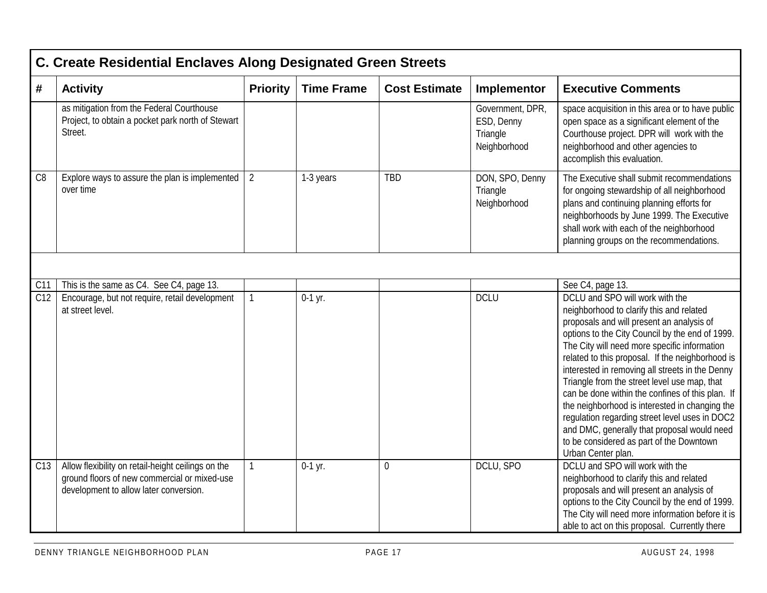|                | <b>C. Create Residential Enclaves Along Designated Green Streets</b>                                                                         |                 |                   |                      |                                                            |                                                                                                                                                                                                                                                                                                                                                                                                                                                                                                                                                                                                                                                             |  |  |  |  |
|----------------|----------------------------------------------------------------------------------------------------------------------------------------------|-----------------|-------------------|----------------------|------------------------------------------------------------|-------------------------------------------------------------------------------------------------------------------------------------------------------------------------------------------------------------------------------------------------------------------------------------------------------------------------------------------------------------------------------------------------------------------------------------------------------------------------------------------------------------------------------------------------------------------------------------------------------------------------------------------------------------|--|--|--|--|
| #              | <b>Activity</b>                                                                                                                              | <b>Priority</b> | <b>Time Frame</b> | <b>Cost Estimate</b> | Implementor                                                | <b>Executive Comments</b>                                                                                                                                                                                                                                                                                                                                                                                                                                                                                                                                                                                                                                   |  |  |  |  |
|                | as mitigation from the Federal Courthouse<br>Project, to obtain a pocket park north of Stewart<br>Street.                                    |                 |                   |                      | Government, DPR,<br>ESD, Denny<br>Triangle<br>Neighborhood | space acquisition in this area or to have public<br>open space as a significant element of the<br>Courthouse project. DPR will work with the<br>neighborhood and other agencies to<br>accomplish this evaluation.                                                                                                                                                                                                                                                                                                                                                                                                                                           |  |  |  |  |
| C <sub>8</sub> | Explore ways to assure the plan is implemented<br>over time                                                                                  | 2               | 1-3 years         | <b>TBD</b>           | DON, SPO, Denny<br>Triangle<br>Neighborhood                | The Executive shall submit recommendations<br>for ongoing stewardship of all neighborhood<br>plans and continuing planning efforts for<br>neighborhoods by June 1999. The Executive<br>shall work with each of the neighborhood<br>planning groups on the recommendations.                                                                                                                                                                                                                                                                                                                                                                                  |  |  |  |  |
|                |                                                                                                                                              |                 |                   |                      |                                                            |                                                                                                                                                                                                                                                                                                                                                                                                                                                                                                                                                                                                                                                             |  |  |  |  |
| C11            | This is the same as C4. See C4, page 13.                                                                                                     |                 |                   |                      |                                                            | See C4, page 13.                                                                                                                                                                                                                                                                                                                                                                                                                                                                                                                                                                                                                                            |  |  |  |  |
| C12            | Encourage, but not require, retail development<br>at street level.                                                                           | $\mathbf{1}$    | $0-1$ yr.         |                      | <b>DCLU</b>                                                | DCLU and SPO will work with the<br>neighborhood to clarify this and related<br>proposals and will present an analysis of<br>options to the City Council by the end of 1999.<br>The City will need more specific information<br>related to this proposal. If the neighborhood is<br>interested in removing all streets in the Denny<br>Triangle from the street level use map, that<br>can be done within the confines of this plan. If<br>the neighborhood is interested in changing the<br>regulation regarding street level uses in DOC2<br>and DMC, generally that proposal would need<br>to be considered as part of the Downtown<br>Urban Center plan. |  |  |  |  |
| C13            | Allow flexibility on retail-height ceilings on the<br>ground floors of new commercial or mixed-use<br>development to allow later conversion. | $\mathbf{1}$    | $0-1$ yr.         | $\mathbf 0$          | DCLU, SPO                                                  | DCLU and SPO will work with the<br>neighborhood to clarify this and related<br>proposals and will present an analysis of<br>options to the City Council by the end of 1999.<br>The City will need more information before it is<br>able to act on this proposal. Currently there                                                                                                                                                                                                                                                                                                                                                                            |  |  |  |  |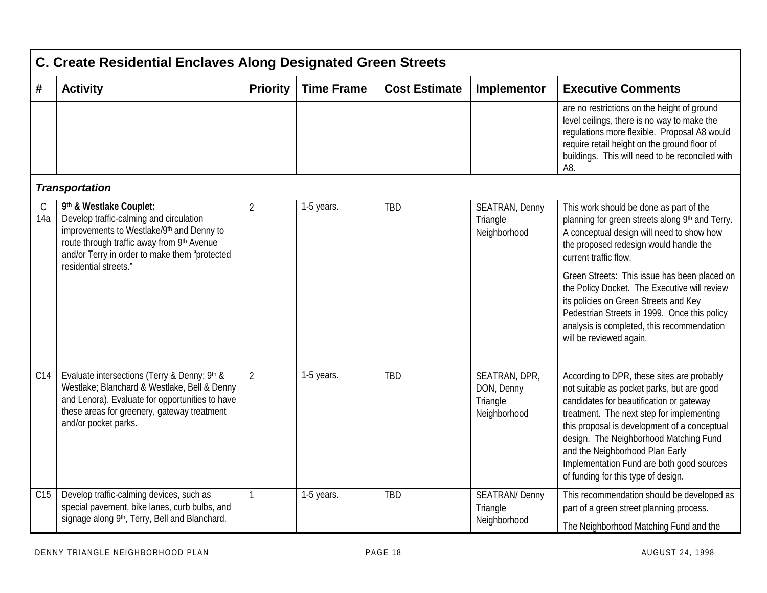|                    | C. Create Residential Enclaves Along Designated Green Streets                                                                                                                                                          |                 |                   |                      |                                                         |                                                                                                                                                                                                                                                                                                                                                                                                    |  |  |  |  |  |
|--------------------|------------------------------------------------------------------------------------------------------------------------------------------------------------------------------------------------------------------------|-----------------|-------------------|----------------------|---------------------------------------------------------|----------------------------------------------------------------------------------------------------------------------------------------------------------------------------------------------------------------------------------------------------------------------------------------------------------------------------------------------------------------------------------------------------|--|--|--|--|--|
| #                  | <b>Activity</b>                                                                                                                                                                                                        | <b>Priority</b> | <b>Time Frame</b> | <b>Cost Estimate</b> | Implementor                                             | <b>Executive Comments</b>                                                                                                                                                                                                                                                                                                                                                                          |  |  |  |  |  |
|                    |                                                                                                                                                                                                                        |                 |                   |                      |                                                         | are no restrictions on the height of ground<br>level ceilings, there is no way to make the<br>regulations more flexible. Proposal A8 would<br>require retail height on the ground floor of<br>buildings. This will need to be reconciled with<br>A8.                                                                                                                                               |  |  |  |  |  |
|                    | <b>Transportation</b>                                                                                                                                                                                                  |                 |                   |                      |                                                         |                                                                                                                                                                                                                                                                                                                                                                                                    |  |  |  |  |  |
| $\mathsf C$<br>14a | 9th & Westlake Couplet:<br>Develop traffic-calming and circulation<br>improvements to Westlake/9th and Denny to<br>route through traffic away from 9th Avenue<br>and/or Terry in order to make them "protected         | $\overline{2}$  | 1-5 years.        | <b>TBD</b>           | SEATRAN, Denny<br>Triangle<br>Neighborhood              | This work should be done as part of the<br>planning for green streets along 9th and Terry.<br>A conceptual design will need to show how<br>the proposed redesign would handle the<br>current traffic flow.                                                                                                                                                                                         |  |  |  |  |  |
|                    | residential streets."                                                                                                                                                                                                  |                 |                   |                      |                                                         | Green Streets: This issue has been placed on<br>the Policy Docket. The Executive will review<br>its policies on Green Streets and Key<br>Pedestrian Streets in 1999. Once this policy<br>analysis is completed, this recommendation<br>will be reviewed again.                                                                                                                                     |  |  |  |  |  |
| C14                | Evaluate intersections (Terry & Denny; 9th &<br>Westlake; Blanchard & Westlake, Bell & Denny<br>and Lenora). Evaluate for opportunities to have<br>these areas for greenery, gateway treatment<br>and/or pocket parks. | $\overline{2}$  | 1-5 years.        | <b>TBD</b>           | SEATRAN, DPR,<br>DON, Denny<br>Triangle<br>Neighborhood | According to DPR, these sites are probably<br>not suitable as pocket parks, but are good<br>candidates for beautification or gateway<br>treatment. The next step for implementing<br>this proposal is development of a conceptual<br>design. The Neighborhood Matching Fund<br>and the Neighborhood Plan Early<br>Implementation Fund are both good sources<br>of funding for this type of design. |  |  |  |  |  |
| C15                | Develop traffic-calming devices, such as<br>special pavement, bike lanes, curb bulbs, and<br>signage along 9th, Terry, Bell and Blanchard.                                                                             | $\mathbf{1}$    | 1-5 years.        | <b>TBD</b>           | <b>SEATRAN/Denny</b><br>Triangle<br>Neighborhood        | This recommendation should be developed as<br>part of a green street planning process.<br>The Neighborhood Matching Fund and the                                                                                                                                                                                                                                                                   |  |  |  |  |  |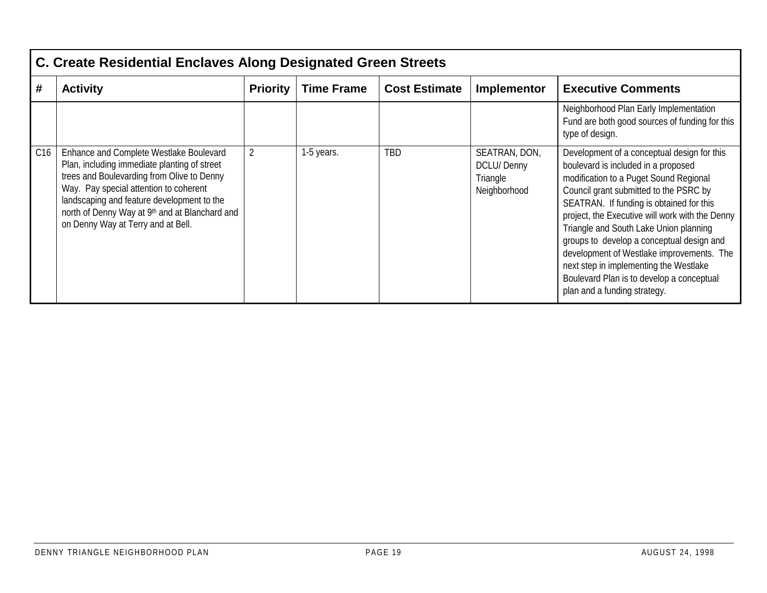|     | C. Create Residential Enclaves Along Designated Green Streets                                                                                                                                                                                                                                                         |                 |                   |                      |                                                                |                                                                                                                                                                                                                                                                                                                                                                                                                                                                                                                                  |  |  |  |  |
|-----|-----------------------------------------------------------------------------------------------------------------------------------------------------------------------------------------------------------------------------------------------------------------------------------------------------------------------|-----------------|-------------------|----------------------|----------------------------------------------------------------|----------------------------------------------------------------------------------------------------------------------------------------------------------------------------------------------------------------------------------------------------------------------------------------------------------------------------------------------------------------------------------------------------------------------------------------------------------------------------------------------------------------------------------|--|--|--|--|
| #   | <b>Activity</b>                                                                                                                                                                                                                                                                                                       | <b>Priority</b> | <b>Time Frame</b> | <b>Cost Estimate</b> | Implementor                                                    | <b>Executive Comments</b>                                                                                                                                                                                                                                                                                                                                                                                                                                                                                                        |  |  |  |  |
|     |                                                                                                                                                                                                                                                                                                                       |                 |                   |                      |                                                                | Neighborhood Plan Early Implementation<br>Fund are both good sources of funding for this<br>type of design.                                                                                                                                                                                                                                                                                                                                                                                                                      |  |  |  |  |
| C16 | Enhance and Complete Westlake Boulevard<br>Plan, including immediate planting of street<br>trees and Boulevarding from Olive to Denny<br>Way. Pay special attention to coherent<br>landscaping and feature development to the<br>north of Denny Way at 9th and at Blanchard and<br>on Denny Way at Terry and at Bell. | $\overline{2}$  | 1-5 years.        | TBD                  | SEATRAN, DON,<br><b>DCLU/Denny</b><br>Triangle<br>Neighborhood | Development of a conceptual design for this<br>boulevard is included in a proposed<br>modification to a Puget Sound Regional<br>Council grant submitted to the PSRC by<br>SEATRAN. If funding is obtained for this<br>project, the Executive will work with the Denny<br>Triangle and South Lake Union planning<br>groups to develop a conceptual design and<br>development of Westlake improvements. The<br>next step in implementing the Westlake<br>Boulevard Plan is to develop a conceptual<br>plan and a funding strategy. |  |  |  |  |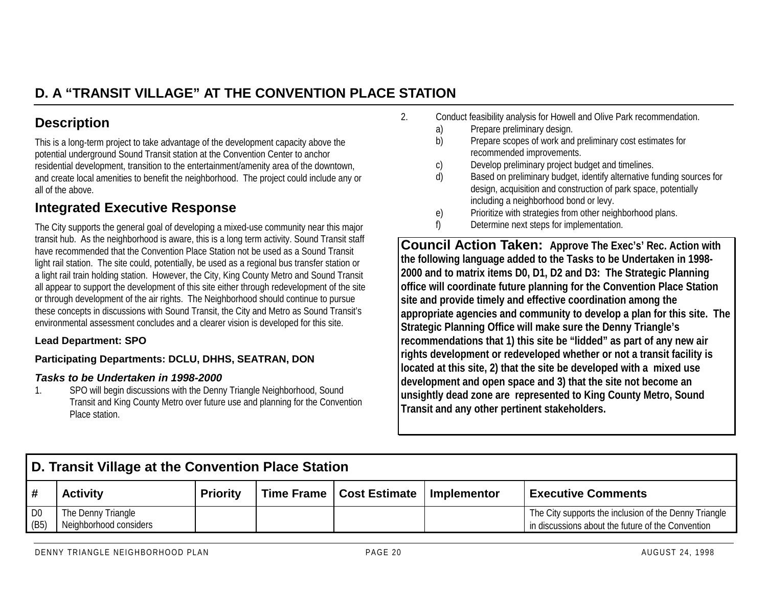# **D. A "TRANSIT VILLAGE" AT THE CONVENTION PLACE STATION**

## **Description**

This is a long-term project to take advantage of the development capacity above the potential underground Sound Transit station at the Convention Center to anchor residential development, transition to the entertainment/amenity area of the downtown, and create local amenities to benefit the neighborhood. The project could include any or all of the above.

## **Integrated Executive Response**

The City supports the general goal of developing a mixed-use community near this major transit hub. As the neighborhood is aware, this is a long term activity. Sound Transit staff have recommended that the Convention Place Station not be used as a Sound Transitlight rail station. The site could, potentially, be used as a regional bus transfer station or a light rail train holding station. However, the City, King County Metro and Sound Transit all appear to support the development of this site either through redevelopment of the site or through development of the air rights. The Neighborhood should continue to pursue these concepts in discussions with Sound Transit, the City and Metro as Sound Transit's environmental assessment concludes and a clearer vision is developed for this site.

#### **Lead Department: SPO**

#### **Participating Departments: DCLU, DHHS, SEATRAN, DON**

#### *Tasks to be Undertaken in 1998-2000*

1. SPO will begin discussions with the Denny Triangle Neighborhood, Sound Transit and King County Metro over future use and planning for the Convention Place station.

- 2. Conduct feasibility analysis for Howell and Olive Park recommendation.
	- a) Prepare preliminary design.
	- b) Prepare scopes of work and preliminary cost estimates for recommended improvements.
	- c) Develop preliminary project budget and timelines.
	- d) Based on preliminary budget, identify alternative funding sources for design, acquisition and construction of park space, potentially including a neighborhood bond or levy.
	- e) Prioritize with strategies from other neighborhood plans.
	- f) Determine next steps for implementation.

**Council Action Taken: Approve The Exec's' Rec. Action with the following language added to the Tasks to be Undertaken in 1998- 2000 and to matrix items D0, D1, D2 and D3: The Strategic Planning office will coordinate future planning for the Convention Place Station site and provide timely and effective coordination among the appropriate agencies and community to develop a plan for this site. The Strategic Planning Office will make sure the Denny Triangle's recommendations that 1) this site be "lidded" as part of any new air rights development or redeveloped whether or not a transit facility is located at this site, 2) that the site be developed with a mixed use development and open space and 3) that the site not become an unsightly dead zone are represented to King County Metro, Sound Transit and any other pertinent stakeholders.**

| D. Transit Village at the Convention Place Station |                                              |                 |  |                            |             |                                                                                                            |  |  |  |
|----------------------------------------------------|----------------------------------------------|-----------------|--|----------------------------|-------------|------------------------------------------------------------------------------------------------------------|--|--|--|
| l #                                                | <b>Activity</b>                              | <b>Priority</b> |  | Time Frame   Cost Estimate | Implementor | <b>Executive Comments</b>                                                                                  |  |  |  |
| $\overline{1}$ D <sub>0</sub><br>(B5)              | The Denny Triangle<br>Neighborhood considers |                 |  |                            |             | The City supports the inclusion of the Denny Triangle<br>in discussions about the future of the Convention |  |  |  |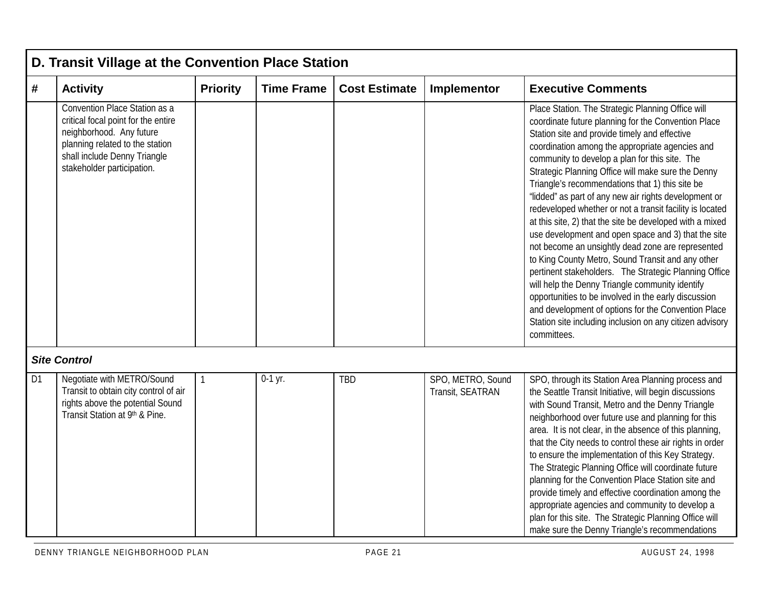|    | D. Transit Village at the Convention Place Station                                                                                                                                                |                 |                   |                      |                                       |                                                                                                                                                                                                                                                                                                                                                                                                                                                                                                                                                                                                                                                                                                                                                                                                                                                                                                                                                                                                                                 |  |  |  |  |  |
|----|---------------------------------------------------------------------------------------------------------------------------------------------------------------------------------------------------|-----------------|-------------------|----------------------|---------------------------------------|---------------------------------------------------------------------------------------------------------------------------------------------------------------------------------------------------------------------------------------------------------------------------------------------------------------------------------------------------------------------------------------------------------------------------------------------------------------------------------------------------------------------------------------------------------------------------------------------------------------------------------------------------------------------------------------------------------------------------------------------------------------------------------------------------------------------------------------------------------------------------------------------------------------------------------------------------------------------------------------------------------------------------------|--|--|--|--|--|
| #  | <b>Activity</b>                                                                                                                                                                                   | <b>Priority</b> | <b>Time Frame</b> | <b>Cost Estimate</b> | Implementor                           | <b>Executive Comments</b>                                                                                                                                                                                                                                                                                                                                                                                                                                                                                                                                                                                                                                                                                                                                                                                                                                                                                                                                                                                                       |  |  |  |  |  |
|    | Convention Place Station as a<br>critical focal point for the entire<br>neighborhood. Any future<br>planning related to the station<br>shall include Denny Triangle<br>stakeholder participation. |                 |                   |                      |                                       | Place Station. The Strategic Planning Office will<br>coordinate future planning for the Convention Place<br>Station site and provide timely and effective<br>coordination among the appropriate agencies and<br>community to develop a plan for this site. The<br>Strategic Planning Office will make sure the Denny<br>Triangle's recommendations that 1) this site be<br>"lidded" as part of any new air rights development or<br>redeveloped whether or not a transit facility is located<br>at this site, 2) that the site be developed with a mixed<br>use development and open space and 3) that the site<br>not become an unsightly dead zone are represented<br>to King County Metro, Sound Transit and any other<br>pertinent stakeholders. The Strategic Planning Office<br>will help the Denny Triangle community identify<br>opportunities to be involved in the early discussion<br>and development of options for the Convention Place<br>Station site including inclusion on any citizen advisory<br>committees. |  |  |  |  |  |
|    | <b>Site Control</b>                                                                                                                                                                               |                 |                   |                      |                                       |                                                                                                                                                                                                                                                                                                                                                                                                                                                                                                                                                                                                                                                                                                                                                                                                                                                                                                                                                                                                                                 |  |  |  |  |  |
| D1 | Negotiate with METRO/Sound<br>Transit to obtain city control of air<br>rights above the potential Sound<br>Transit Station at 9th & Pine.                                                         | $\mathbf{1}$    | $0-1$ yr.         | TBD                  | SPO, METRO, Sound<br>Transit, SEATRAN | SPO, through its Station Area Planning process and<br>the Seattle Transit Initiative, will begin discussions<br>with Sound Transit, Metro and the Denny Triangle<br>neighborhood over future use and planning for this<br>area. It is not clear, in the absence of this planning,<br>that the City needs to control these air rights in order<br>to ensure the implementation of this Key Strategy.<br>The Strategic Planning Office will coordinate future<br>planning for the Convention Place Station site and<br>provide timely and effective coordination among the<br>appropriate agencies and community to develop a<br>plan for this site. The Strategic Planning Office will<br>make sure the Denny Triangle's recommendations                                                                                                                                                                                                                                                                                         |  |  |  |  |  |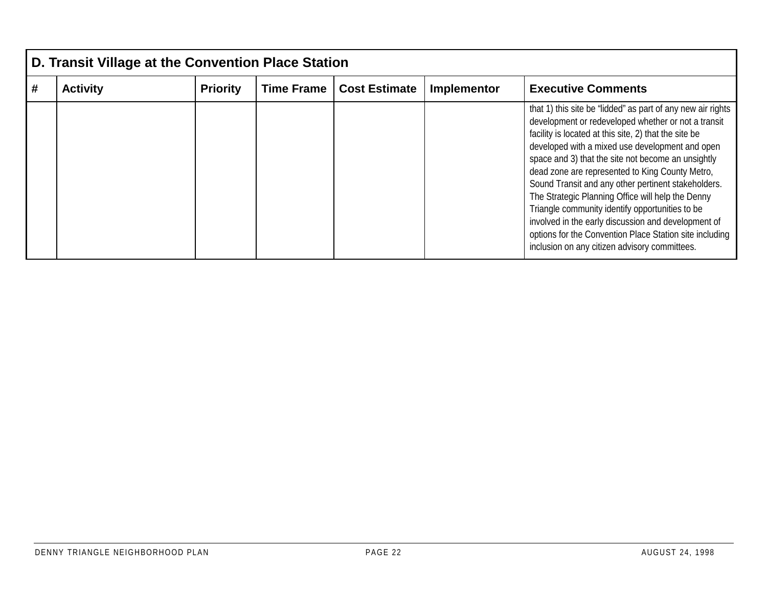| D. Transit Village at the Convention Place Station |                 |                   |                      |             |                                                                                                                                                                                                                                                                                                                                                                                                                                                                                                                                                                                                                                                                           |  |  |  |  |  |  |
|----------------------------------------------------|-----------------|-------------------|----------------------|-------------|---------------------------------------------------------------------------------------------------------------------------------------------------------------------------------------------------------------------------------------------------------------------------------------------------------------------------------------------------------------------------------------------------------------------------------------------------------------------------------------------------------------------------------------------------------------------------------------------------------------------------------------------------------------------------|--|--|--|--|--|--|
| <b>Activity</b>                                    | <b>Priority</b> | <b>Time Frame</b> | <b>Cost Estimate</b> | Implementor | <b>Executive Comments</b>                                                                                                                                                                                                                                                                                                                                                                                                                                                                                                                                                                                                                                                 |  |  |  |  |  |  |
|                                                    |                 |                   |                      |             | that 1) this site be "lidded" as part of any new air rights<br>development or redeveloped whether or not a transit<br>facility is located at this site, 2) that the site be<br>developed with a mixed use development and open<br>space and 3) that the site not become an unsightly<br>dead zone are represented to King County Metro,<br>Sound Transit and any other pertinent stakeholders.<br>The Strategic Planning Office will help the Denny<br>Triangle community identify opportunities to be<br>involved in the early discussion and development of<br>options for the Convention Place Station site including<br>inclusion on any citizen advisory committees. |  |  |  |  |  |  |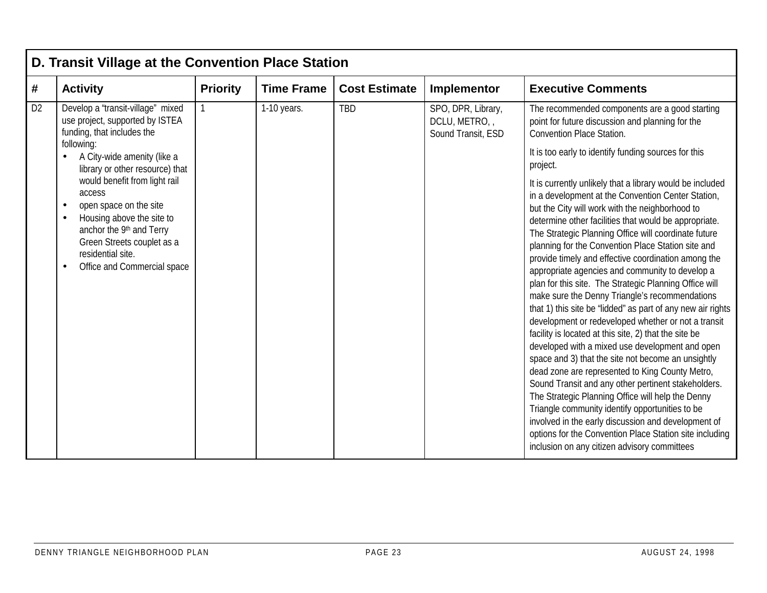|                | D. Transit Village at the Convention Place Station                                                                                                                                                           |                 |                   |                      |                                                          |                                                                                                                                                                                                                                                                                                                                                                                                                                                                                                                                                                                                                                                                                                                                                                                                                                                                                                                                                                                                                                                                                                                                                                                                                                             |  |  |  |  |  |  |
|----------------|--------------------------------------------------------------------------------------------------------------------------------------------------------------------------------------------------------------|-----------------|-------------------|----------------------|----------------------------------------------------------|---------------------------------------------------------------------------------------------------------------------------------------------------------------------------------------------------------------------------------------------------------------------------------------------------------------------------------------------------------------------------------------------------------------------------------------------------------------------------------------------------------------------------------------------------------------------------------------------------------------------------------------------------------------------------------------------------------------------------------------------------------------------------------------------------------------------------------------------------------------------------------------------------------------------------------------------------------------------------------------------------------------------------------------------------------------------------------------------------------------------------------------------------------------------------------------------------------------------------------------------|--|--|--|--|--|--|
| #              | <b>Activity</b>                                                                                                                                                                                              | <b>Priority</b> | <b>Time Frame</b> | <b>Cost Estimate</b> | Implementor                                              | <b>Executive Comments</b>                                                                                                                                                                                                                                                                                                                                                                                                                                                                                                                                                                                                                                                                                                                                                                                                                                                                                                                                                                                                                                                                                                                                                                                                                   |  |  |  |  |  |  |
| D <sub>2</sub> | Develop a "transit-village" mixed<br>use project, supported by ISTEA<br>funding, that includes the                                                                                                           |                 | 1-10 years.       | <b>TBD</b>           | SPO, DPR, Library,<br>DCLU, METRO,<br>Sound Transit, ESD | The recommended components are a good starting<br>point for future discussion and planning for the<br><b>Convention Place Station.</b>                                                                                                                                                                                                                                                                                                                                                                                                                                                                                                                                                                                                                                                                                                                                                                                                                                                                                                                                                                                                                                                                                                      |  |  |  |  |  |  |
|                | following:<br>A City-wide amenity (like a<br>library or other resource) that                                                                                                                                 |                 |                   |                      |                                                          | It is too early to identify funding sources for this<br>project.                                                                                                                                                                                                                                                                                                                                                                                                                                                                                                                                                                                                                                                                                                                                                                                                                                                                                                                                                                                                                                                                                                                                                                            |  |  |  |  |  |  |
|                | would benefit from light rail<br>access<br>open space on the site<br>Housing above the site to<br>anchor the 9th and Terry<br>Green Streets couplet as a<br>residential site.<br>Office and Commercial space |                 |                   |                      |                                                          | It is currently unlikely that a library would be included<br>in a development at the Convention Center Station,<br>but the City will work with the neighborhood to<br>determine other facilities that would be appropriate.<br>The Strategic Planning Office will coordinate future<br>planning for the Convention Place Station site and<br>provide timely and effective coordination among the<br>appropriate agencies and community to develop a<br>plan for this site. The Strategic Planning Office will<br>make sure the Denny Triangle's recommendations<br>that 1) this site be "lidded" as part of any new air rights<br>development or redeveloped whether or not a transit<br>facility is located at this site, 2) that the site be<br>developed with a mixed use development and open<br>space and 3) that the site not become an unsightly<br>dead zone are represented to King County Metro,<br>Sound Transit and any other pertinent stakeholders.<br>The Strategic Planning Office will help the Denny<br>Triangle community identify opportunities to be<br>involved in the early discussion and development of<br>options for the Convention Place Station site including<br>inclusion on any citizen advisory committees |  |  |  |  |  |  |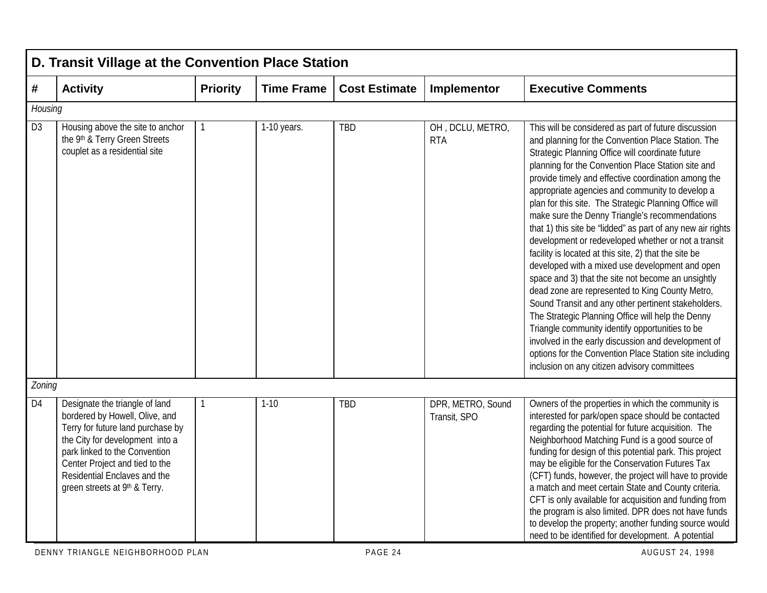|                | D. Transit Village at the Convention Place Station                                                                                                                                                                                                                           |                 |                   |                      |                                   |                                                                                                                                                                                                                                                                                                                                                                                                                                                                                                                                                                                                                                                                                                                                                                                                                                                                                                                                                                                                                                                                                                                        |  |  |  |  |  |
|----------------|------------------------------------------------------------------------------------------------------------------------------------------------------------------------------------------------------------------------------------------------------------------------------|-----------------|-------------------|----------------------|-----------------------------------|------------------------------------------------------------------------------------------------------------------------------------------------------------------------------------------------------------------------------------------------------------------------------------------------------------------------------------------------------------------------------------------------------------------------------------------------------------------------------------------------------------------------------------------------------------------------------------------------------------------------------------------------------------------------------------------------------------------------------------------------------------------------------------------------------------------------------------------------------------------------------------------------------------------------------------------------------------------------------------------------------------------------------------------------------------------------------------------------------------------------|--|--|--|--|--|
| #              | <b>Activity</b>                                                                                                                                                                                                                                                              | <b>Priority</b> | <b>Time Frame</b> | <b>Cost Estimate</b> | Implementor                       | <b>Executive Comments</b>                                                                                                                                                                                                                                                                                                                                                                                                                                                                                                                                                                                                                                                                                                                                                                                                                                                                                                                                                                                                                                                                                              |  |  |  |  |  |
| Housing        |                                                                                                                                                                                                                                                                              |                 |                   |                      |                                   |                                                                                                                                                                                                                                                                                                                                                                                                                                                                                                                                                                                                                                                                                                                                                                                                                                                                                                                                                                                                                                                                                                                        |  |  |  |  |  |
| D <sub>3</sub> | Housing above the site to anchor<br>the 9th & Terry Green Streets<br>couplet as a residential site                                                                                                                                                                           | 1               | 1-10 years.       | <b>TBD</b>           | OH, DCLU, METRO,<br><b>RTA</b>    | This will be considered as part of future discussion<br>and planning for the Convention Place Station. The<br>Strategic Planning Office will coordinate future<br>planning for the Convention Place Station site and<br>provide timely and effective coordination among the<br>appropriate agencies and community to develop a<br>plan for this site. The Strategic Planning Office will<br>make sure the Denny Triangle's recommendations<br>that 1) this site be "lidded" as part of any new air rights<br>development or redeveloped whether or not a transit<br>facility is located at this site, 2) that the site be<br>developed with a mixed use development and open<br>space and 3) that the site not become an unsightly<br>dead zone are represented to King County Metro,<br>Sound Transit and any other pertinent stakeholders.<br>The Strategic Planning Office will help the Denny<br>Triangle community identify opportunities to be<br>involved in the early discussion and development of<br>options for the Convention Place Station site including<br>inclusion on any citizen advisory committees |  |  |  |  |  |
| Zoning         |                                                                                                                                                                                                                                                                              |                 |                   |                      |                                   |                                                                                                                                                                                                                                                                                                                                                                                                                                                                                                                                                                                                                                                                                                                                                                                                                                                                                                                                                                                                                                                                                                                        |  |  |  |  |  |
| D <sub>4</sub> | Designate the triangle of land<br>bordered by Howell, Olive, and<br>Terry for future land purchase by<br>the City for development into a<br>park linked to the Convention<br>Center Project and tied to the<br>Residential Enclaves and the<br>green streets at 9th & Terry. | 1               | $1 - 10$          | <b>TBD</b>           | DPR, METRO, Sound<br>Transit, SPO | Owners of the properties in which the community is<br>interested for park/open space should be contacted<br>regarding the potential for future acquisition. The<br>Neighborhood Matching Fund is a good source of<br>funding for design of this potential park. This project<br>may be eligible for the Conservation Futures Tax<br>(CFT) funds, however, the project will have to provide<br>a match and meet certain State and County criteria.<br>CFT is only available for acquisition and funding from<br>the program is also limited. DPR does not have funds<br>to develop the property; another funding source would<br>need to be identified for development. A potential                                                                                                                                                                                                                                                                                                                                                                                                                                     |  |  |  |  |  |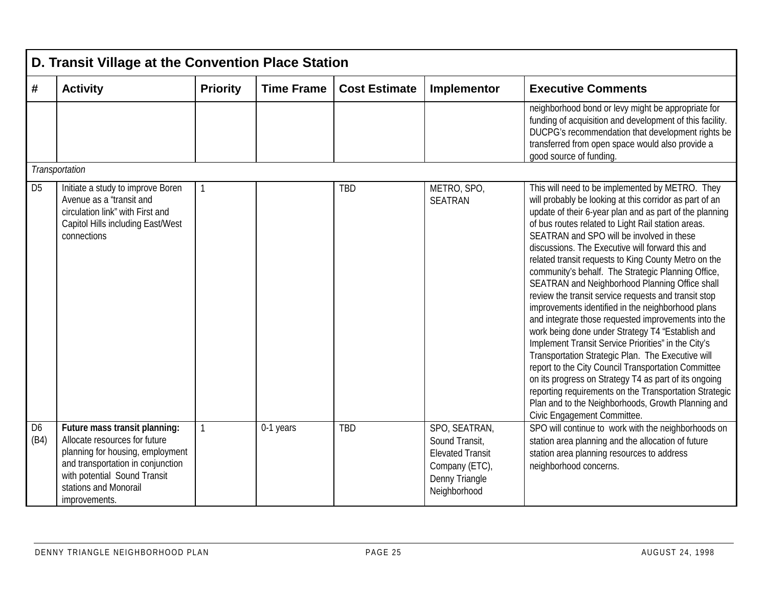|                        | D. Transit Village at the Convention Place Station                                                                                                                                                                |                 |                   |                      |                                                                                                                |                                                                                                                                                                                                                                                                                                                                                                                                                                                                                                                                                                                                                                                                                                                                                                                                                                                                                                                                                                                                                                                                                                 |  |  |  |  |  |
|------------------------|-------------------------------------------------------------------------------------------------------------------------------------------------------------------------------------------------------------------|-----------------|-------------------|----------------------|----------------------------------------------------------------------------------------------------------------|-------------------------------------------------------------------------------------------------------------------------------------------------------------------------------------------------------------------------------------------------------------------------------------------------------------------------------------------------------------------------------------------------------------------------------------------------------------------------------------------------------------------------------------------------------------------------------------------------------------------------------------------------------------------------------------------------------------------------------------------------------------------------------------------------------------------------------------------------------------------------------------------------------------------------------------------------------------------------------------------------------------------------------------------------------------------------------------------------|--|--|--|--|--|
| #                      | <b>Activity</b>                                                                                                                                                                                                   | <b>Priority</b> | <b>Time Frame</b> | <b>Cost Estimate</b> | Implementor                                                                                                    | <b>Executive Comments</b>                                                                                                                                                                                                                                                                                                                                                                                                                                                                                                                                                                                                                                                                                                                                                                                                                                                                                                                                                                                                                                                                       |  |  |  |  |  |
|                        |                                                                                                                                                                                                                   |                 |                   |                      |                                                                                                                | neighborhood bond or levy might be appropriate for<br>funding of acquisition and development of this facility.<br>DUCPG's recommendation that development rights be<br>transferred from open space would also provide a<br>good source of funding.                                                                                                                                                                                                                                                                                                                                                                                                                                                                                                                                                                                                                                                                                                                                                                                                                                              |  |  |  |  |  |
|                        | Transportation                                                                                                                                                                                                    |                 |                   |                      |                                                                                                                |                                                                                                                                                                                                                                                                                                                                                                                                                                                                                                                                                                                                                                                                                                                                                                                                                                                                                                                                                                                                                                                                                                 |  |  |  |  |  |
| D <sub>5</sub>         | Initiate a study to improve Boren<br>Avenue as a "transit and<br>circulation link" with First and<br><b>Capitol Hills including East/West</b><br>connections                                                      |                 |                   | <b>TBD</b>           | METRO, SPO,<br><b>SEATRAN</b>                                                                                  | This will need to be implemented by METRO. They<br>will probably be looking at this corridor as part of an<br>update of their 6-year plan and as part of the planning<br>of bus routes related to Light Rail station areas.<br>SEATRAN and SPO will be involved in these<br>discussions. The Executive will forward this and<br>related transit requests to King County Metro on the<br>community's behalf. The Strategic Planning Office,<br>SEATRAN and Neighborhood Planning Office shall<br>review the transit service requests and transit stop<br>improvements identified in the neighborhood plans<br>and integrate those requested improvements into the<br>work being done under Strategy T4 "Establish and<br>Implement Transit Service Priorities" in the City's<br>Transportation Strategic Plan. The Executive will<br>report to the City Council Transportation Committee<br>on its progress on Strategy T4 as part of its ongoing<br>reporting requirements on the Transportation Strategic<br>Plan and to the Neighborhoods, Growth Planning and<br>Civic Engagement Committee. |  |  |  |  |  |
| D <sub>6</sub><br>(B4) | Future mass transit planning:<br>Allocate resources for future<br>planning for housing, employment<br>and transportation in conjunction<br>with potential Sound Transit<br>stations and Monorail<br>improvements. |                 | 0-1 years         | <b>TBD</b>           | SPO, SEATRAN,<br>Sound Transit,<br><b>Elevated Transit</b><br>Company (ETC),<br>Denny Triangle<br>Neighborhood | SPO will continue to work with the neighborhoods on<br>station area planning and the allocation of future<br>station area planning resources to address<br>neighborhood concerns.                                                                                                                                                                                                                                                                                                                                                                                                                                                                                                                                                                                                                                                                                                                                                                                                                                                                                                               |  |  |  |  |  |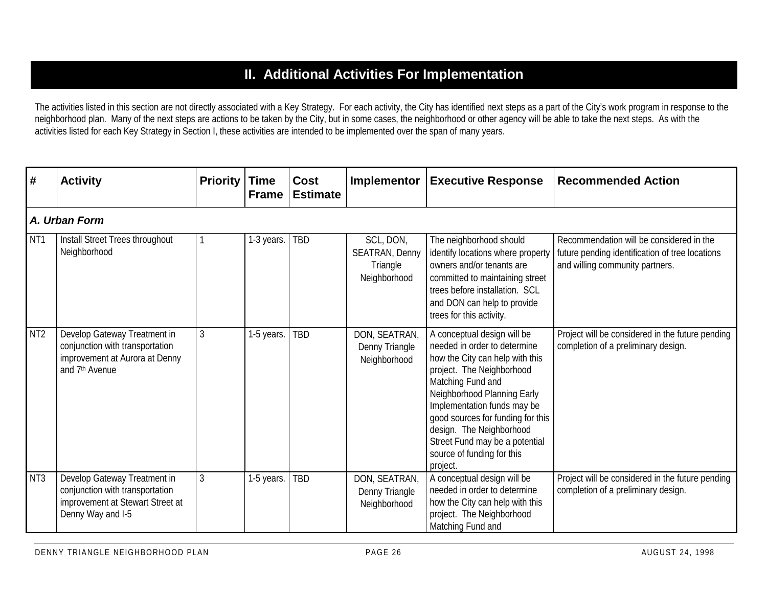# **II. Additional Activities For Implementation**

The activities listed in this section are not directly associated with a Key Strategy. For each activity, the City has identified next steps as a part of the City's work program in response to the neighborhood plan. Many of the next steps are actions to be taken by the City, but in some cases, the neighborhood or other agency will be able to take the next steps. As with the activities listed for each Key Strategy in Section I, these activities are intended to be implemented over the span of many years.

| #                | <b>Activity</b>                                                                                                                 | <b>Priority</b> | <b>Time</b><br><b>Frame</b> | Cost<br><b>Estimate</b> | Implementor                                             | <b>Executive Response</b>                                                                                                                                                                                                                                                                                                                                   | <b>Recommended Action</b>                                                                                                      |
|------------------|---------------------------------------------------------------------------------------------------------------------------------|-----------------|-----------------------------|-------------------------|---------------------------------------------------------|-------------------------------------------------------------------------------------------------------------------------------------------------------------------------------------------------------------------------------------------------------------------------------------------------------------------------------------------------------------|--------------------------------------------------------------------------------------------------------------------------------|
|                  | A. Urban Form                                                                                                                   |                 |                             |                         |                                                         |                                                                                                                                                                                                                                                                                                                                                             |                                                                                                                                |
| N <sub>T</sub> 1 | Install Street Trees throughout<br>Neighborhood                                                                                 |                 | 1-3 years.                  | TBD                     | SCL, DON,<br>SEATRAN, Denny<br>Triangle<br>Neighborhood | The neighborhood should<br>identify locations where property<br>owners and/or tenants are<br>committed to maintaining street<br>trees before installation. SCL<br>and DON can help to provide<br>trees for this activity.                                                                                                                                   | Recommendation will be considered in the<br>future pending identification of tree locations<br>and willing community partners. |
| NT <sub>2</sub>  | Develop Gateway Treatment in<br>conjunction with transportation<br>improvement at Aurora at Denny<br>and 7 <sup>th</sup> Avenue | 3               | 1-5 years.                  | TBD                     | DON, SEATRAN,<br>Denny Triangle<br>Neighborhood         | A conceptual design will be<br>needed in order to determine<br>how the City can help with this<br>project. The Neighborhood<br>Matching Fund and<br>Neighborhood Planning Early<br>Implementation funds may be<br>good sources for funding for this<br>design. The Neighborhood<br>Street Fund may be a potential<br>source of funding for this<br>project. | Project will be considered in the future pending<br>completion of a preliminary design.                                        |
| NT <sub>3</sub>  | Develop Gateway Treatment in<br>conjunction with transportation<br>improvement at Stewart Street at<br>Denny Way and I-5        | 3               | 1-5 years.                  | TBD                     | DON, SEATRAN,<br>Denny Triangle<br>Neighborhood         | A conceptual design will be<br>needed in order to determine<br>how the City can help with this<br>project. The Neighborhood<br>Matching Fund and                                                                                                                                                                                                            | Project will be considered in the future pending<br>completion of a preliminary design.                                        |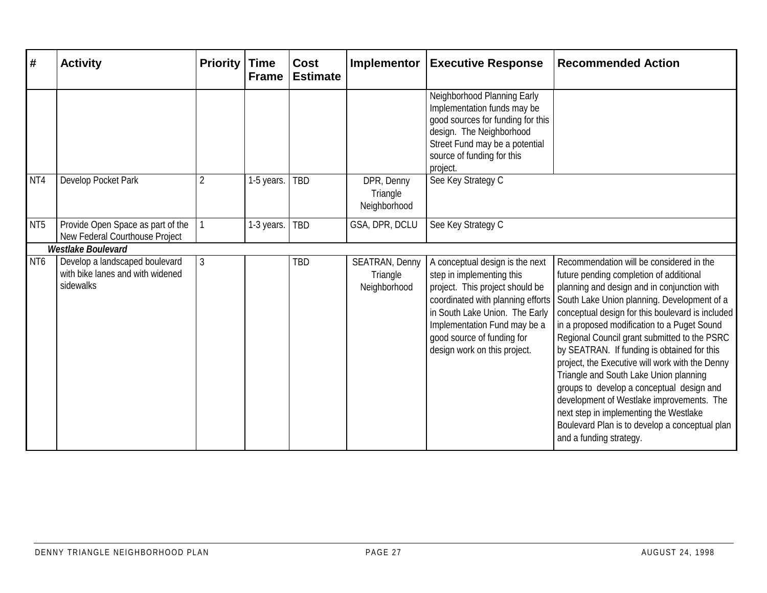| #               | <b>Activity</b>                                                                 | <b>Priority</b> | <b>Time</b><br><b>Frame</b> | <b>Cost</b><br><b>Estimate</b> | <b>Implementor</b>                                | <b>Executive Response</b>                                                                                                                                                                                                                                            | <b>Recommended Action</b>                                                                                                                                                                                                                                                                                                                                                                                                                                                                                                                                                                                                                                                                         |
|-----------------|---------------------------------------------------------------------------------|-----------------|-----------------------------|--------------------------------|---------------------------------------------------|----------------------------------------------------------------------------------------------------------------------------------------------------------------------------------------------------------------------------------------------------------------------|---------------------------------------------------------------------------------------------------------------------------------------------------------------------------------------------------------------------------------------------------------------------------------------------------------------------------------------------------------------------------------------------------------------------------------------------------------------------------------------------------------------------------------------------------------------------------------------------------------------------------------------------------------------------------------------------------|
|                 |                                                                                 |                 |                             |                                |                                                   | Neighborhood Planning Early<br>Implementation funds may be<br>good sources for funding for this<br>design. The Neighborhood<br>Street Fund may be a potential<br>source of funding for this<br>project.                                                              |                                                                                                                                                                                                                                                                                                                                                                                                                                                                                                                                                                                                                                                                                                   |
| NT4             | Develop Pocket Park                                                             | $\overline{2}$  | 1-5 years.                  | <b>TBD</b>                     | DPR, Denny<br>Triangle<br>Neighborhood            | See Key Strategy C                                                                                                                                                                                                                                                   |                                                                                                                                                                                                                                                                                                                                                                                                                                                                                                                                                                                                                                                                                                   |
| NT <sub>5</sub> | Provide Open Space as part of the<br>New Federal Courthouse Project             |                 | 1-3 years.                  | <b>TBD</b>                     | GSA, DPR, DCLU                                    | See Key Strategy C                                                                                                                                                                                                                                                   |                                                                                                                                                                                                                                                                                                                                                                                                                                                                                                                                                                                                                                                                                                   |
|                 | <b>Westlake Boulevard</b>                                                       |                 |                             |                                |                                                   |                                                                                                                                                                                                                                                                      |                                                                                                                                                                                                                                                                                                                                                                                                                                                                                                                                                                                                                                                                                                   |
| NT <sub>6</sub> | Develop a landscaped boulevard<br>with bike lanes and with widened<br>sidewalks | 3               |                             | <b>TBD</b>                     | <b>SEATRAN, Denny</b><br>Triangle<br>Neighborhood | A conceptual design is the next<br>step in implementing this<br>project. This project should be<br>coordinated with planning efforts<br>in South Lake Union. The Early<br>Implementation Fund may be a<br>good source of funding for<br>design work on this project. | Recommendation will be considered in the<br>future pending completion of additional<br>planning and design and in conjunction with<br>South Lake Union planning. Development of a<br>conceptual design for this boulevard is included<br>in a proposed modification to a Puget Sound<br>Regional Council grant submitted to the PSRC<br>by SEATRAN. If funding is obtained for this<br>project, the Executive will work with the Denny<br>Triangle and South Lake Union planning<br>groups to develop a conceptual design and<br>development of Westlake improvements. The<br>next step in implementing the Westlake<br>Boulevard Plan is to develop a conceptual plan<br>and a funding strategy. |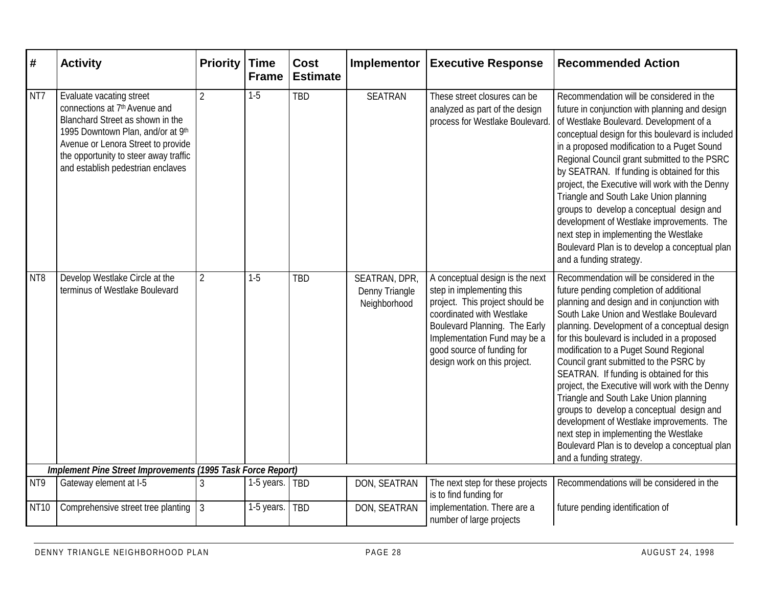| #               | <b>Activity</b>                                                                                                                                                                                                                                                    | <b>Priority</b> | <b>Time</b><br><b>Frame</b> | <b>Cost</b><br><b>Estimate</b> | Implementor                                     | <b>Executive Response</b>                                                                                                                                                                                                                                   | <b>Recommended Action</b>                                                                                                                                                                                                                                                                                                                                                                                                                                                                                                                                                                                                                                                                                                   |
|-----------------|--------------------------------------------------------------------------------------------------------------------------------------------------------------------------------------------------------------------------------------------------------------------|-----------------|-----------------------------|--------------------------------|-------------------------------------------------|-------------------------------------------------------------------------------------------------------------------------------------------------------------------------------------------------------------------------------------------------------------|-----------------------------------------------------------------------------------------------------------------------------------------------------------------------------------------------------------------------------------------------------------------------------------------------------------------------------------------------------------------------------------------------------------------------------------------------------------------------------------------------------------------------------------------------------------------------------------------------------------------------------------------------------------------------------------------------------------------------------|
| NT7             | Evaluate vacating street<br>connections at 7 <sup>th</sup> Avenue and<br>Blanchard Street as shown in the<br>1995 Downtown Plan, and/or at 9th<br>Avenue or Lenora Street to provide<br>the opportunity to steer away traffic<br>and establish pedestrian enclaves | $\overline{2}$  | $1-5$                       | <b>TBD</b>                     | <b>SEATRAN</b>                                  | These street closures can be<br>analyzed as part of the design<br>process for Westlake Boulevard.                                                                                                                                                           | Recommendation will be considered in the<br>future in conjunction with planning and design<br>of Westlake Boulevard. Development of a<br>conceptual design for this boulevard is included<br>in a proposed modification to a Puget Sound<br>Regional Council grant submitted to the PSRC<br>by SEATRAN. If funding is obtained for this<br>project, the Executive will work with the Denny<br>Triangle and South Lake Union planning<br>groups to develop a conceptual design and<br>development of Westlake improvements. The<br>next step in implementing the Westlake<br>Boulevard Plan is to develop a conceptual plan<br>and a funding strategy.                                                                       |
| NT <sub>8</sub> | Develop Westlake Circle at the<br>terminus of Westlake Boulevard                                                                                                                                                                                                   | $\overline{2}$  | $1-5$                       | <b>TBD</b>                     | SEATRAN, DPR,<br>Denny Triangle<br>Neighborhood | A conceptual design is the next<br>step in implementing this<br>project. This project should be<br>coordinated with Westlake<br>Boulevard Planning. The Early<br>Implementation Fund may be a<br>good source of funding for<br>design work on this project. | Recommendation will be considered in the<br>future pending completion of additional<br>planning and design and in conjunction with<br>South Lake Union and Westlake Boulevard<br>planning. Development of a conceptual design<br>for this boulevard is included in a proposed<br>modification to a Puget Sound Regional<br>Council grant submitted to the PSRC by<br>SEATRAN. If funding is obtained for this<br>project, the Executive will work with the Denny<br>Triangle and South Lake Union planning<br>groups to develop a conceptual design and<br>development of Westlake improvements. The<br>next step in implementing the Westlake<br>Boulevard Plan is to develop a conceptual plan<br>and a funding strategy. |
|                 | Implement Pine Street Improvements (1995 Task Force Report)                                                                                                                                                                                                        |                 |                             |                                |                                                 |                                                                                                                                                                                                                                                             |                                                                                                                                                                                                                                                                                                                                                                                                                                                                                                                                                                                                                                                                                                                             |
| NT9             | Gateway element at I-5                                                                                                                                                                                                                                             | $\mathfrak{Z}$  | 1-5 years.   TBD            |                                | DON, SEATRAN                                    | The next step for these projects<br>is to find funding for                                                                                                                                                                                                  | Recommendations will be considered in the                                                                                                                                                                                                                                                                                                                                                                                                                                                                                                                                                                                                                                                                                   |
| <b>NT10</b>     | Comprehensive street tree planting                                                                                                                                                                                                                                 | $\overline{3}$  | 1-5 years.                  | <b>TBD</b>                     | DON, SEATRAN                                    | implementation. There are a<br>number of large projects                                                                                                                                                                                                     | future pending identification of                                                                                                                                                                                                                                                                                                                                                                                                                                                                                                                                                                                                                                                                                            |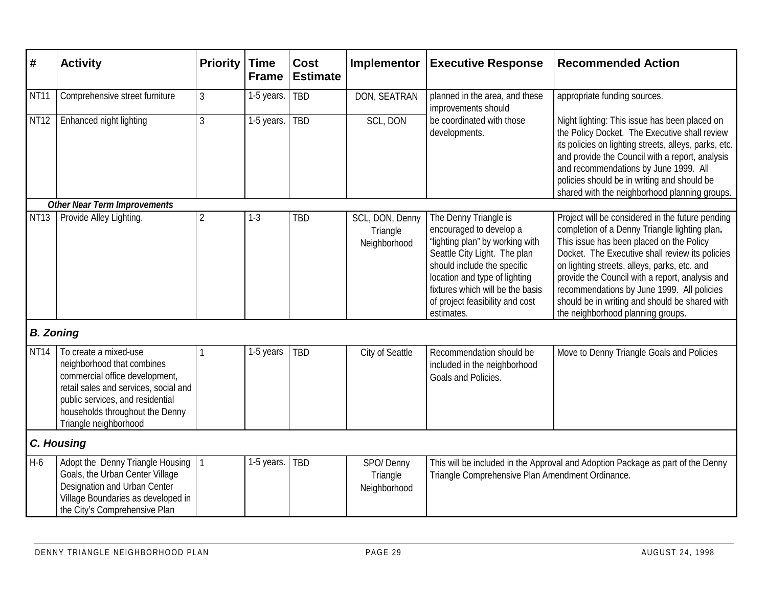| #                | <b>Activity</b>                                                                                                                                                                                                                | <b>Priority</b> | <b>Time</b><br><b>Frame</b> | <b>Cost</b><br><b>Estimate</b> | Implementor                                 | <b>Executive Response</b>                                                                                                                                                                                                                                                | <b>Recommended Action</b>                                                                                                                                                                                                                                                                                                                                                                                                                |  |  |  |  |  |
|------------------|--------------------------------------------------------------------------------------------------------------------------------------------------------------------------------------------------------------------------------|-----------------|-----------------------------|--------------------------------|---------------------------------------------|--------------------------------------------------------------------------------------------------------------------------------------------------------------------------------------------------------------------------------------------------------------------------|------------------------------------------------------------------------------------------------------------------------------------------------------------------------------------------------------------------------------------------------------------------------------------------------------------------------------------------------------------------------------------------------------------------------------------------|--|--|--|--|--|
| NT <sub>11</sub> | Comprehensive street furniture                                                                                                                                                                                                 | $\mathfrak{Z}$  | 1-5 years.                  | <b>TBD</b>                     | DON, SEATRAN                                | planned in the area, and these<br>improvements should                                                                                                                                                                                                                    | appropriate funding sources.                                                                                                                                                                                                                                                                                                                                                                                                             |  |  |  |  |  |
| <b>NT12</b>      | Enhanced night lighting                                                                                                                                                                                                        | $\mathfrak{Z}$  | 1-5 years.                  | TBD                            | SCL, DON                                    | be coordinated with those<br>developments.                                                                                                                                                                                                                               | Night lighting: This issue has been placed on<br>the Policy Docket. The Executive shall review<br>its policies on lighting streets, alleys, parks, etc.<br>and provide the Council with a report, analysis<br>and recommendations by June 1999. All<br>policies should be in writing and should be<br>shared with the neighborhood planning groups.                                                                                      |  |  |  |  |  |
|                  | <b>Other Near Term Improvements</b>                                                                                                                                                                                            |                 |                             |                                |                                             |                                                                                                                                                                                                                                                                          |                                                                                                                                                                                                                                                                                                                                                                                                                                          |  |  |  |  |  |
| NT <sub>13</sub> | Provide Alley Lighting.                                                                                                                                                                                                        | $\overline{2}$  | $1 - 3$                     | <b>TBD</b>                     | SCL, DON, Denny<br>Triangle<br>Neighborhood | The Denny Triangle is<br>encouraged to develop a<br>"lighting plan" by working with<br>Seattle City Light. The plan<br>should include the specific<br>location and type of lighting<br>fixtures which will be the basis<br>of project feasibility and cost<br>estimates. | Project will be considered in the future pending<br>completion of a Denny Triangle lighting plan.<br>This issue has been placed on the Policy<br>Docket. The Executive shall review its policies<br>on lighting streets, alleys, parks, etc. and<br>provide the Council with a report, analysis and<br>recommendations by June 1999. All policies<br>should be in writing and should be shared with<br>the neighborhood planning groups. |  |  |  |  |  |
| <b>B.</b> Zoning |                                                                                                                                                                                                                                |                 |                             |                                |                                             |                                                                                                                                                                                                                                                                          |                                                                                                                                                                                                                                                                                                                                                                                                                                          |  |  |  |  |  |
| <b>NT14</b>      | To create a mixed-use<br>neighborhood that combines<br>commercial office development,<br>retail sales and services, social and<br>public services, and residential<br>households throughout the Denny<br>Triangle neighborhood |                 | 1-5 years                   | <b>TBD</b>                     | City of Seattle                             | Recommendation should be<br>included in the neighborhood<br>Goals and Policies.                                                                                                                                                                                          | Move to Denny Triangle Goals and Policies                                                                                                                                                                                                                                                                                                                                                                                                |  |  |  |  |  |
|                  | <b>C. Housing</b>                                                                                                                                                                                                              |                 |                             |                                |                                             |                                                                                                                                                                                                                                                                          |                                                                                                                                                                                                                                                                                                                                                                                                                                          |  |  |  |  |  |
| $H-6$            | Adopt the Denny Triangle Housing<br>Goals, the Urban Center Village<br>Designation and Urban Center<br>Village Boundaries as developed in<br>the City's Comprehensive Plan                                                     |                 | 1-5 years.                  | TBD                            | SPO/Denny<br>Triangle<br>Neighborhood       | This will be included in the Approval and Adoption Package as part of the Denny<br>Triangle Comprehensive Plan Amendment Ordinance.                                                                                                                                      |                                                                                                                                                                                                                                                                                                                                                                                                                                          |  |  |  |  |  |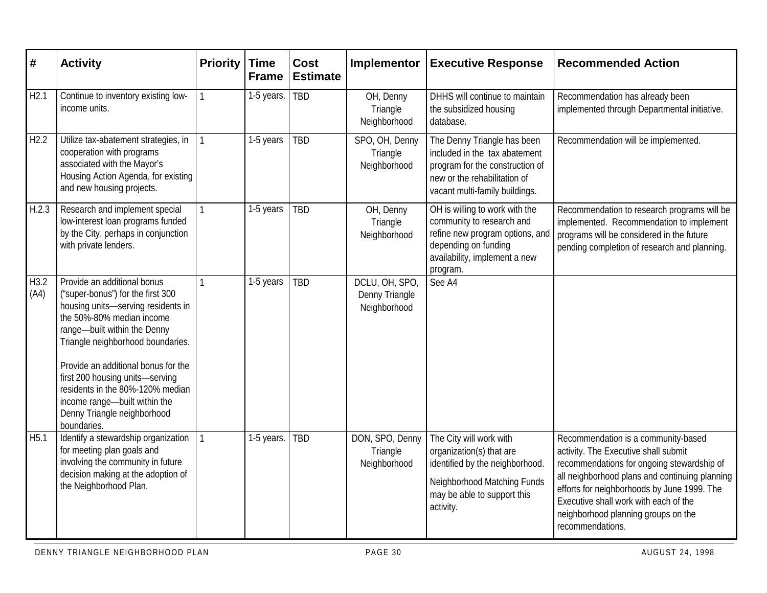| #            | <b>Activity</b>                                                                                                                                                                                          | <b>Priority</b> | <b>Time</b><br><b>Frame</b> | <b>Cost</b><br><b>Estimate</b> | <b>Implementor</b>                               | <b>Executive Response</b>                                                                                                                                           | <b>Recommended Action</b>                                                                                                                                                                                                                                                                                                      |
|--------------|----------------------------------------------------------------------------------------------------------------------------------------------------------------------------------------------------------|-----------------|-----------------------------|--------------------------------|--------------------------------------------------|---------------------------------------------------------------------------------------------------------------------------------------------------------------------|--------------------------------------------------------------------------------------------------------------------------------------------------------------------------------------------------------------------------------------------------------------------------------------------------------------------------------|
| H2.1         | Continue to inventory existing low-<br>income units.                                                                                                                                                     |                 | 1-5 years.                  | <b>TBD</b>                     | OH, Denny<br>Triangle<br>Neighborhood            | DHHS will continue to maintain<br>the subsidized housing<br>database.                                                                                               | Recommendation has already been<br>implemented through Departmental initiative.                                                                                                                                                                                                                                                |
| H2.2         | Utilize tax-abatement strategies, in<br>cooperation with programs<br>associated with the Mayor's<br>Housing Action Agenda, for existing<br>and new housing projects.                                     |                 | 1-5 years                   | <b>TBD</b>                     | SPO, OH, Denny<br>Triangle<br>Neighborhood       | The Denny Triangle has been<br>included in the tax abatement<br>program for the construction of<br>new or the rehabilitation of<br>vacant multi-family buildings.   | Recommendation will be implemented.                                                                                                                                                                                                                                                                                            |
| H.2.3        | Research and implement special<br>low-interest loan programs funded<br>by the City, perhaps in conjunction<br>with private lenders.                                                                      |                 | 1-5 years                   | <b>TBD</b>                     | OH, Denny<br>Triangle<br>Neighborhood            | OH is willing to work with the<br>community to research and<br>refine new program options, and<br>depending on funding<br>availability, implement a new<br>program. | Recommendation to research programs will be<br>implemented. Recommendation to implement<br>programs will be considered in the future<br>pending completion of research and planning.                                                                                                                                           |
| H3.2<br>(A4) | Provide an additional bonus<br>("super-bonus") for the first 300<br>housing units-serving residents in<br>the 50%-80% median income<br>range-built within the Denny<br>Triangle neighborhood boundaries. |                 | 1-5 years                   | <b>TBD</b>                     | DCLU, OH, SPO,<br>Denny Triangle<br>Neighborhood | See A4                                                                                                                                                              |                                                                                                                                                                                                                                                                                                                                |
|              | Provide an additional bonus for the<br>first 200 housing units-serving<br>residents in the 80%-120% median<br>income range-built within the<br>Denny Triangle neighborhood<br>boundaries.                |                 |                             |                                |                                                  |                                                                                                                                                                     |                                                                                                                                                                                                                                                                                                                                |
| H5.1         | Identify a stewardship organization<br>for meeting plan goals and<br>involving the community in future<br>decision making at the adoption of<br>the Neighborhood Plan.                                   |                 | 1-5 years.                  | TBD                            | DON, SPO, Denny<br>Triangle<br>Neighborhood      | The City will work with<br>organization(s) that are<br>identified by the neighborhood.<br>Neighborhood Matching Funds<br>may be able to support this<br>activity.   | Recommendation is a community-based<br>activity. The Executive shall submit<br>recommendations for ongoing stewardship of<br>all neighborhood plans and continuing planning<br>efforts for neighborhoods by June 1999. The<br>Executive shall work with each of the<br>neighborhood planning groups on the<br>recommendations. |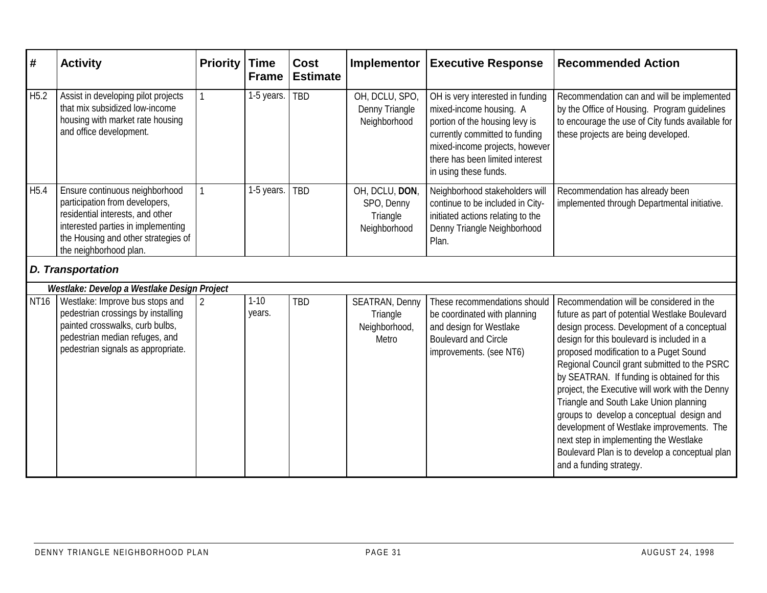| #                | <b>Activity</b>                                                                                                                                                                                             | <b>Priority</b> | <b>Time</b><br><b>Frame</b> | <b>Cost</b><br><b>Estimate</b> | Implementor                                                 | <b>Executive Response</b>                                                                                                                                                                                                     | <b>Recommended Action</b>                                                                                                                                                                                                                                                                                                                                                                                                                                                                                                                                                                                                                      |
|------------------|-------------------------------------------------------------------------------------------------------------------------------------------------------------------------------------------------------------|-----------------|-----------------------------|--------------------------------|-------------------------------------------------------------|-------------------------------------------------------------------------------------------------------------------------------------------------------------------------------------------------------------------------------|------------------------------------------------------------------------------------------------------------------------------------------------------------------------------------------------------------------------------------------------------------------------------------------------------------------------------------------------------------------------------------------------------------------------------------------------------------------------------------------------------------------------------------------------------------------------------------------------------------------------------------------------|
| H <sub>5.2</sub> | Assist in developing pilot projects<br>that mix subsidized low-income<br>housing with market rate housing<br>and office development.                                                                        |                 | 1-5 years.                  | <b>TBD</b>                     | OH, DCLU, SPO,<br>Denny Triangle<br>Neighborhood            | OH is very interested in funding<br>mixed-income housing. A<br>portion of the housing levy is<br>currently committed to funding<br>mixed-income projects, however<br>there has been limited interest<br>in using these funds. | Recommendation can and will be implemented<br>by the Office of Housing. Program guidelines<br>to encourage the use of City funds available for<br>these projects are being developed.                                                                                                                                                                                                                                                                                                                                                                                                                                                          |
| H <sub>5.4</sub> | Ensure continuous neighborhood<br>participation from developers,<br>residential interests, and other<br>interested parties in implementing<br>the Housing and other strategies of<br>the neighborhood plan. |                 | 1-5 years.                  | <b>TBD</b>                     | OH, DCLU, DON,<br>SPO, Denny<br>Triangle<br>Neighborhood    | Neighborhood stakeholders will<br>continue to be included in City-<br>initiated actions relating to the<br>Denny Triangle Neighborhood<br>Plan.                                                                               | Recommendation has already been<br>implemented through Departmental initiative.                                                                                                                                                                                                                                                                                                                                                                                                                                                                                                                                                                |
|                  | <b>D. Transportation</b>                                                                                                                                                                                    |                 |                             |                                |                                                             |                                                                                                                                                                                                                               |                                                                                                                                                                                                                                                                                                                                                                                                                                                                                                                                                                                                                                                |
|                  | Westlake: Develop a Westlake Design Project                                                                                                                                                                 |                 |                             |                                |                                                             |                                                                                                                                                                                                                               |                                                                                                                                                                                                                                                                                                                                                                                                                                                                                                                                                                                                                                                |
| <b>NT16</b>      | Westlake: Improve bus stops and<br>pedestrian crossings by installing<br>painted crosswalks, curb bulbs,<br>pedestrian median refuges, and<br>pedestrian signals as appropriate.                            | $\overline{2}$  | $1 - 10$<br>years.          | TBD                            | <b>SEATRAN, Denny</b><br>Triangle<br>Neighborhood,<br>Metro | These recommendations should<br>be coordinated with planning<br>and design for Westlake<br><b>Boulevard and Circle</b><br>improvements. (see NT6)                                                                             | Recommendation will be considered in the<br>future as part of potential Westlake Boulevard<br>design process. Development of a conceptual<br>design for this boulevard is included in a<br>proposed modification to a Puget Sound<br>Regional Council grant submitted to the PSRC<br>by SEATRAN. If funding is obtained for this<br>project, the Executive will work with the Denny<br>Triangle and South Lake Union planning<br>groups to develop a conceptual design and<br>development of Westlake improvements. The<br>next step in implementing the Westlake<br>Boulevard Plan is to develop a conceptual plan<br>and a funding strategy. |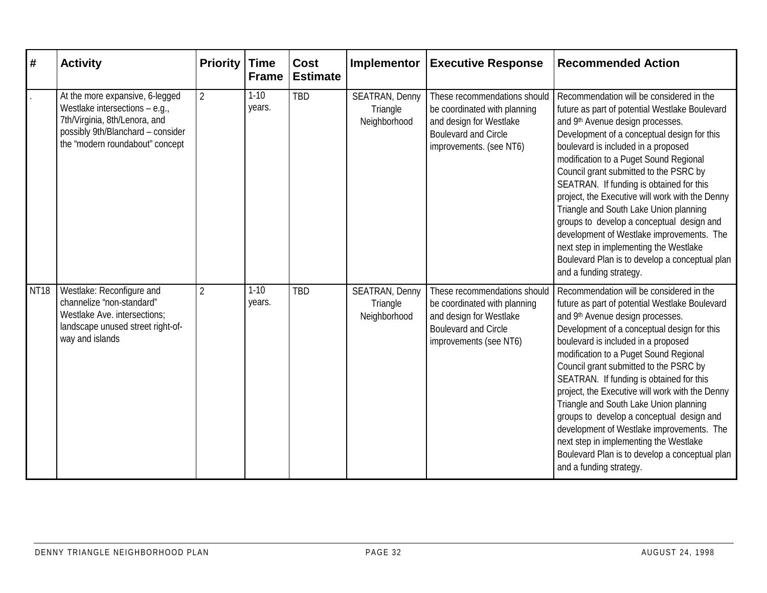| #           | <b>Activity</b>                                                                                                                                                              | <b>Priority</b> | <b>Time</b><br><b>Frame</b> | <b>Cost</b><br><b>Estimate</b> | Implementor                                       | <b>Executive Response</b>                                                                                                                         | <b>Recommended Action</b>                                                                                                                                                                                                                                                                                                                                                                                                                                                                                                                                                                                                                                          |
|-------------|------------------------------------------------------------------------------------------------------------------------------------------------------------------------------|-----------------|-----------------------------|--------------------------------|---------------------------------------------------|---------------------------------------------------------------------------------------------------------------------------------------------------|--------------------------------------------------------------------------------------------------------------------------------------------------------------------------------------------------------------------------------------------------------------------------------------------------------------------------------------------------------------------------------------------------------------------------------------------------------------------------------------------------------------------------------------------------------------------------------------------------------------------------------------------------------------------|
|             | At the more expansive, 6-legged<br>Westlake intersections $-$ e.g.,<br>7th/Virginia, 8th/Lenora, and<br>possibly 9th/Blanchard - consider<br>the "modern roundabout" concept | $\overline{2}$  | $1 - 10$<br>years.          | <b>TBD</b>                     | <b>SEATRAN, Denny</b><br>Triangle<br>Neighborhood | These recommendations should<br>be coordinated with planning<br>and design for Westlake<br><b>Boulevard and Circle</b><br>improvements. (see NT6) | Recommendation will be considered in the<br>future as part of potential Westlake Boulevard<br>and 9th Avenue design processes.<br>Development of a conceptual design for this<br>boulevard is included in a proposed<br>modification to a Puget Sound Regional<br>Council grant submitted to the PSRC by<br>SEATRAN. If funding is obtained for this<br>project, the Executive will work with the Denny<br>Triangle and South Lake Union planning<br>groups to develop a conceptual design and<br>development of Westlake improvements. The<br>next step in implementing the Westlake<br>Boulevard Plan is to develop a conceptual plan<br>and a funding strategy. |
| <b>NT18</b> | Westlake: Reconfigure and<br>channelize "non-standard"<br>Westlake Ave. intersections:<br>landscape unused street right-of-<br>way and islands                               | $\overline{2}$  | $1 - 10$<br>years.          | <b>TBD</b>                     | SEATRAN, Denny<br>Triangle<br>Neighborhood        | These recommendations should<br>be coordinated with planning<br>and design for Westlake<br><b>Boulevard and Circle</b><br>improvements (see NT6)  | Recommendation will be considered in the<br>future as part of potential Westlake Boulevard<br>and 9th Avenue design processes.<br>Development of a conceptual design for this<br>boulevard is included in a proposed<br>modification to a Puget Sound Regional<br>Council grant submitted to the PSRC by<br>SEATRAN. If funding is obtained for this<br>project, the Executive will work with the Denny<br>Triangle and South Lake Union planning<br>groups to develop a conceptual design and<br>development of Westlake improvements. The<br>next step in implementing the Westlake<br>Boulevard Plan is to develop a conceptual plan<br>and a funding strategy. |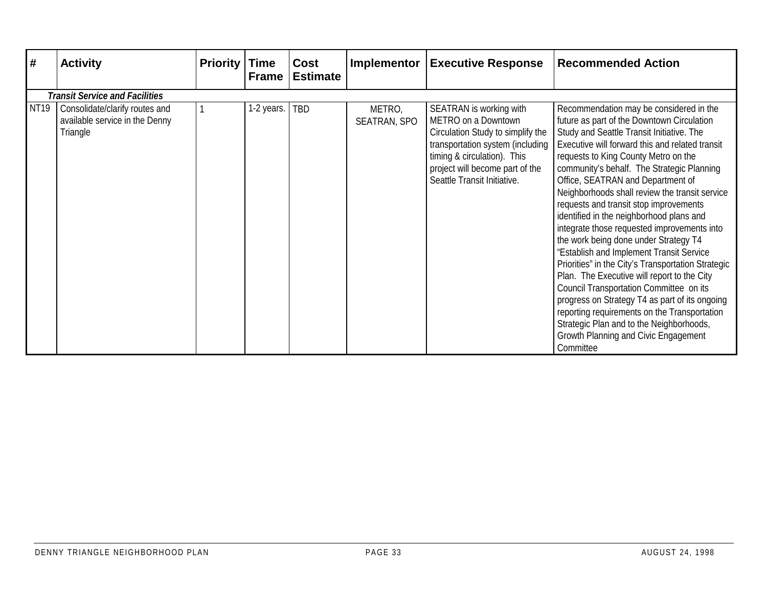| #           | <b>Activity</b>                                                              | <b>Priority</b> | <b>Time</b><br><b>Frame</b> | Cost<br><b>Estimate</b> |                               | <b>Implementor Executive Response</b>                                                                                                                                                                                    | <b>Recommended Action</b>                                                                                                                                                                                                                                                                                                                                                                                                                                                                                                                                                                                                                                                                                                                                                                                                                                                                                                                       |  |  |  |  |
|-------------|------------------------------------------------------------------------------|-----------------|-----------------------------|-------------------------|-------------------------------|--------------------------------------------------------------------------------------------------------------------------------------------------------------------------------------------------------------------------|-------------------------------------------------------------------------------------------------------------------------------------------------------------------------------------------------------------------------------------------------------------------------------------------------------------------------------------------------------------------------------------------------------------------------------------------------------------------------------------------------------------------------------------------------------------------------------------------------------------------------------------------------------------------------------------------------------------------------------------------------------------------------------------------------------------------------------------------------------------------------------------------------------------------------------------------------|--|--|--|--|
|             | <b>Transit Service and Facilities</b>                                        |                 |                             |                         |                               |                                                                                                                                                                                                                          |                                                                                                                                                                                                                                                                                                                                                                                                                                                                                                                                                                                                                                                                                                                                                                                                                                                                                                                                                 |  |  |  |  |
| <b>NT19</b> | Consolidate/clarify routes and<br>available service in the Denny<br>Triangle |                 | 1-2 years.   TBD            |                         | METRO,<br><b>SEATRAN, SPO</b> | SEATRAN is working with<br>METRO on a Downtown<br>Circulation Study to simplify the<br>transportation system (including<br>timing & circulation). This<br>project will become part of the<br>Seattle Transit Initiative. | Recommendation may be considered in the<br>future as part of the Downtown Circulation<br>Study and Seattle Transit Initiative. The<br>Executive will forward this and related transit<br>requests to King County Metro on the<br>community's behalf. The Strategic Planning<br>Office, SEATRAN and Department of<br>Neighborhoods shall review the transit service<br>requests and transit stop improvements<br>identified in the neighborhood plans and<br>integrate those requested improvements into<br>the work being done under Strategy T4<br>"Establish and Implement Transit Service<br>Priorities" in the City's Transportation Strategic<br>Plan. The Executive will report to the City<br>Council Transportation Committee on its<br>progress on Strategy T4 as part of its ongoing<br>reporting requirements on the Transportation<br>Strategic Plan and to the Neighborhoods,<br>Growth Planning and Civic Engagement<br>Committee |  |  |  |  |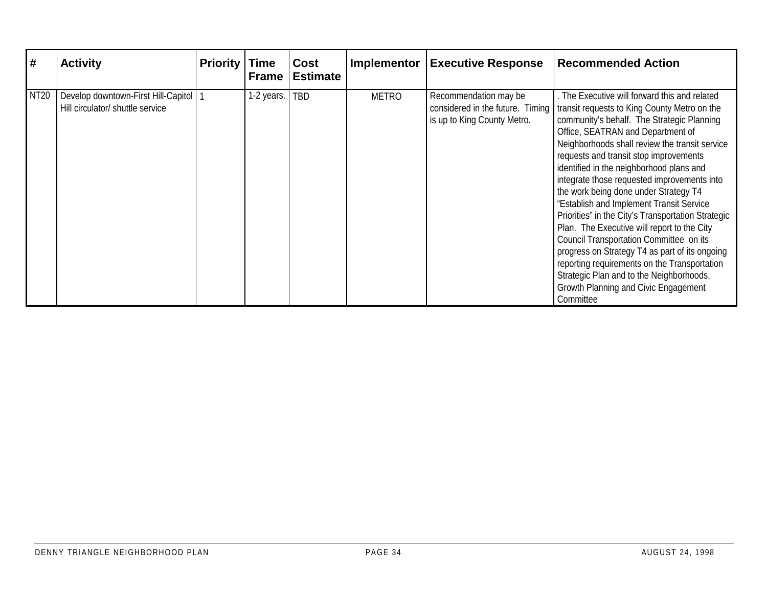| #           | <b>Activity</b>                                                         | <b>Priority</b> | <b>Time</b><br><b>Frame</b> | Cost<br><b>Estimate</b> | Implementor  | <b>Executive Response</b>                                                                | <b>Recommended Action</b>                                                                                                                                                                                                                                                                                                                                                                                                                                                                                                                                                                                                                                                                                                                                                                                     |
|-------------|-------------------------------------------------------------------------|-----------------|-----------------------------|-------------------------|--------------|------------------------------------------------------------------------------------------|---------------------------------------------------------------------------------------------------------------------------------------------------------------------------------------------------------------------------------------------------------------------------------------------------------------------------------------------------------------------------------------------------------------------------------------------------------------------------------------------------------------------------------------------------------------------------------------------------------------------------------------------------------------------------------------------------------------------------------------------------------------------------------------------------------------|
| <b>NT20</b> | Develop downtown-First Hill-Capitol<br>Hill circulator/ shuttle service |                 | 1-2 years.                  | TBD                     | <b>METRO</b> | Recommendation may be<br>considered in the future. Timing<br>is up to King County Metro. | The Executive will forward this and related<br>transit requests to King County Metro on the<br>community's behalf. The Strategic Planning<br>Office, SEATRAN and Department of<br>Neighborhoods shall review the transit service<br>requests and transit stop improvements<br>identified in the neighborhood plans and<br>integrate those requested improvements into<br>the work being done under Strategy T4<br>"Establish and Implement Transit Service<br>Priorities" in the City's Transportation Strategic<br>Plan. The Executive will report to the City<br>Council Transportation Committee on its<br>progress on Strategy T4 as part of its ongoing<br>reporting requirements on the Transportation<br>Strategic Plan and to the Neighborhoods,<br>Growth Planning and Civic Engagement<br>Committee |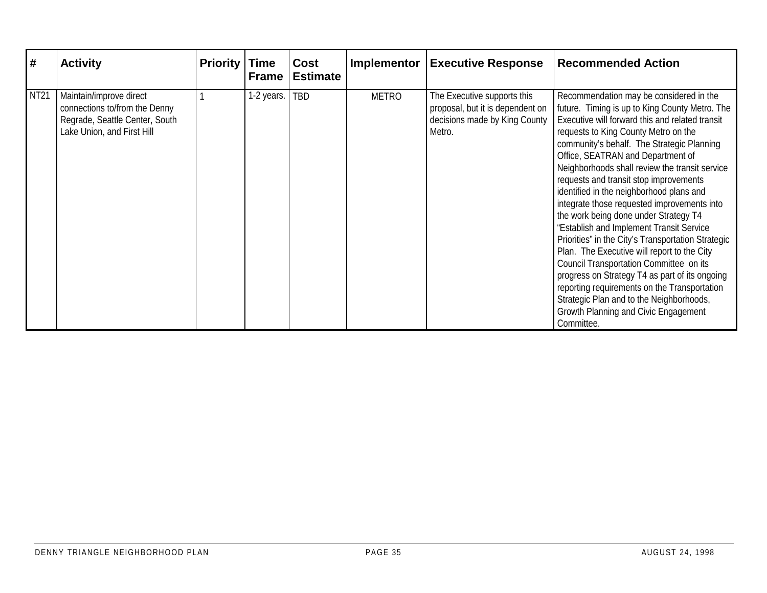| #           | <b>Activity</b>                                                                                                          | <b>Priority</b> | <b>Time</b><br><b>Frame</b> | Cost<br><b>Estimate</b> | <b>Implementor</b> | <b>Executive Response</b>                                                                                  | <b>Recommended Action</b>                                                                                                                                                                                                                                                                                                                                                                                                                                                                                                                                                                                                                                                                                                                                                                                                                                                                               |
|-------------|--------------------------------------------------------------------------------------------------------------------------|-----------------|-----------------------------|-------------------------|--------------------|------------------------------------------------------------------------------------------------------------|---------------------------------------------------------------------------------------------------------------------------------------------------------------------------------------------------------------------------------------------------------------------------------------------------------------------------------------------------------------------------------------------------------------------------------------------------------------------------------------------------------------------------------------------------------------------------------------------------------------------------------------------------------------------------------------------------------------------------------------------------------------------------------------------------------------------------------------------------------------------------------------------------------|
| <b>NT21</b> | Maintain/improve direct<br>connections to/from the Denny<br>Regrade, Seattle Center, South<br>Lake Union, and First Hill |                 | 1-2 years.                  | <b>TBD</b>              | <b>METRO</b>       | The Executive supports this<br>proposal, but it is dependent on<br>decisions made by King County<br>Metro. | Recommendation may be considered in the<br>future. Timing is up to King County Metro. The<br>Executive will forward this and related transit<br>requests to King County Metro on the<br>community's behalf. The Strategic Planning<br>Office, SEATRAN and Department of<br>Neighborhoods shall review the transit service<br>requests and transit stop improvements<br>identified in the neighborhood plans and<br>integrate those requested improvements into<br>the work being done under Strategy T4<br>"Establish and Implement Transit Service<br>Priorities" in the City's Transportation Strategic<br>Plan. The Executive will report to the City<br>Council Transportation Committee on its<br>progress on Strategy T4 as part of its ongoing<br>reporting requirements on the Transportation<br>Strategic Plan and to the Neighborhoods,<br>Growth Planning and Civic Engagement<br>Committee. |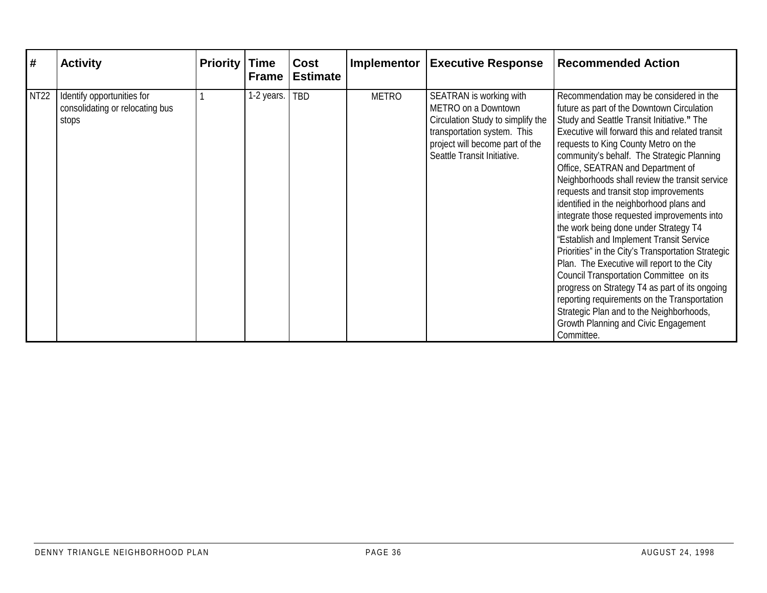| $\vert \#$  | <b>Activity</b>                                                        | <b>Priority</b> | <b>Time</b><br><b>Frame</b> | Cost<br><b>Estimate</b> | <b>Implementor</b> | <b>Executive Response</b>                                                                                                                                                            | <b>Recommended Action</b>                                                                                                                                                                                                                                                                                                                                                                                                                                                                                                                                                                                                                                                                                                                                                                                                                                                                                                                         |
|-------------|------------------------------------------------------------------------|-----------------|-----------------------------|-------------------------|--------------------|--------------------------------------------------------------------------------------------------------------------------------------------------------------------------------------|---------------------------------------------------------------------------------------------------------------------------------------------------------------------------------------------------------------------------------------------------------------------------------------------------------------------------------------------------------------------------------------------------------------------------------------------------------------------------------------------------------------------------------------------------------------------------------------------------------------------------------------------------------------------------------------------------------------------------------------------------------------------------------------------------------------------------------------------------------------------------------------------------------------------------------------------------|
| <b>NT22</b> | Identify opportunities for<br>consolidating or relocating bus<br>stops |                 | 1-2 years.                  | <b>TBD</b>              | <b>METRO</b>       | SEATRAN is working with<br>METRO on a Downtown<br>Circulation Study to simplify the<br>transportation system. This<br>project will become part of the<br>Seattle Transit Initiative. | Recommendation may be considered in the<br>future as part of the Downtown Circulation<br>Study and Seattle Transit Initiative." The<br>Executive will forward this and related transit<br>requests to King County Metro on the<br>community's behalf. The Strategic Planning<br>Office, SEATRAN and Department of<br>Neighborhoods shall review the transit service<br>requests and transit stop improvements<br>identified in the neighborhood plans and<br>integrate those requested improvements into<br>the work being done under Strategy T4<br>"Establish and Implement Transit Service<br>Priorities" in the City's Transportation Strategic<br>Plan. The Executive will report to the City<br>Council Transportation Committee on its<br>progress on Strategy T4 as part of its ongoing<br>reporting requirements on the Transportation<br>Strategic Plan and to the Neighborhoods,<br>Growth Planning and Civic Engagement<br>Committee. |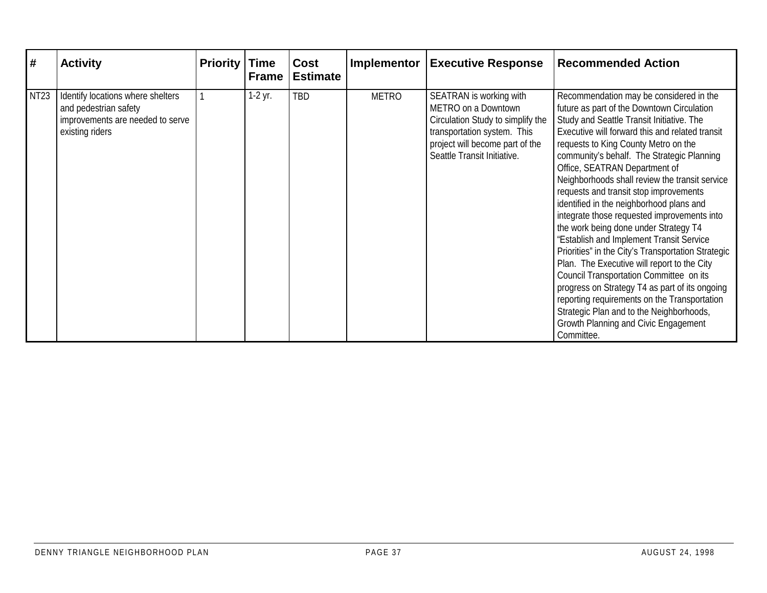| #           | <b>Activity</b>                                                                                                   | <b>Priority</b> | <b>Time</b><br><b>Frame</b> | Cost<br><b>Estimate</b> | Implementor  | <b>Executive Response</b>                                                                                                                                                            | <b>Recommended Action</b>                                                                                                                                                                                                                                                                                                                                                                                                                                                                                                                                                                                                                                                                                                                                                                                                                                                                                                                    |
|-------------|-------------------------------------------------------------------------------------------------------------------|-----------------|-----------------------------|-------------------------|--------------|--------------------------------------------------------------------------------------------------------------------------------------------------------------------------------------|----------------------------------------------------------------------------------------------------------------------------------------------------------------------------------------------------------------------------------------------------------------------------------------------------------------------------------------------------------------------------------------------------------------------------------------------------------------------------------------------------------------------------------------------------------------------------------------------------------------------------------------------------------------------------------------------------------------------------------------------------------------------------------------------------------------------------------------------------------------------------------------------------------------------------------------------|
| <b>NT23</b> | Identify locations where shelters<br>and pedestrian safety<br>improvements are needed to serve<br>existing riders |                 | $1-2$ yr.                   | <b>TBD</b>              | <b>METRO</b> | SEATRAN is working with<br>METRO on a Downtown<br>Circulation Study to simplify the<br>transportation system. This<br>project will become part of the<br>Seattle Transit Initiative. | Recommendation may be considered in the<br>future as part of the Downtown Circulation<br>Study and Seattle Transit Initiative. The<br>Executive will forward this and related transit<br>requests to King County Metro on the<br>community's behalf. The Strategic Planning<br>Office, SEATRAN Department of<br>Neighborhoods shall review the transit service<br>requests and transit stop improvements<br>identified in the neighborhood plans and<br>integrate those requested improvements into<br>the work being done under Strategy T4<br>"Establish and Implement Transit Service<br>Priorities" in the City's Transportation Strategic<br>Plan. The Executive will report to the City<br>Council Transportation Committee on its<br>progress on Strategy T4 as part of its ongoing<br>reporting requirements on the Transportation<br>Strategic Plan and to the Neighborhoods,<br>Growth Planning and Civic Engagement<br>Committee. |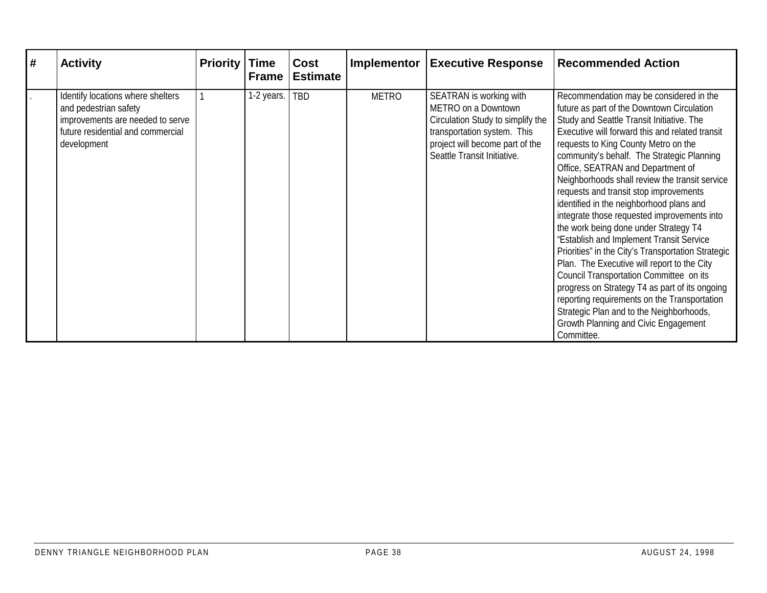| # | <b>Activity</b>                                                                                                                                    | <b>Priority</b> | <b>Time</b><br><b>Frame</b> | Cost<br><b>Estimate</b> | <b>Implementor</b> | <b>Executive Response</b>                                                                                                                                                            | <b>Recommended Action</b>                                                                                                                                                                                                                                                                                                                                                                                                                                                                                                                                                                                                                                                                                                                                                                                                                                                                                                                        |
|---|----------------------------------------------------------------------------------------------------------------------------------------------------|-----------------|-----------------------------|-------------------------|--------------------|--------------------------------------------------------------------------------------------------------------------------------------------------------------------------------------|--------------------------------------------------------------------------------------------------------------------------------------------------------------------------------------------------------------------------------------------------------------------------------------------------------------------------------------------------------------------------------------------------------------------------------------------------------------------------------------------------------------------------------------------------------------------------------------------------------------------------------------------------------------------------------------------------------------------------------------------------------------------------------------------------------------------------------------------------------------------------------------------------------------------------------------------------|
|   | Identify locations where shelters<br>and pedestrian safety<br>improvements are needed to serve<br>future residential and commercial<br>development |                 | 1-2 years.                  | TBD                     | <b>METRO</b>       | SEATRAN is working with<br>METRO on a Downtown<br>Circulation Study to simplify the<br>transportation system. This<br>project will become part of the<br>Seattle Transit Initiative. | Recommendation may be considered in the<br>future as part of the Downtown Circulation<br>Study and Seattle Transit Initiative. The<br>Executive will forward this and related transit<br>requests to King County Metro on the<br>community's behalf. The Strategic Planning<br>Office, SEATRAN and Department of<br>Neighborhoods shall review the transit service<br>requests and transit stop improvements<br>identified in the neighborhood plans and<br>integrate those requested improvements into<br>the work being done under Strategy T4<br>"Establish and Implement Transit Service<br>Priorities" in the City's Transportation Strategic<br>Plan. The Executive will report to the City<br>Council Transportation Committee on its<br>progress on Strategy T4 as part of its ongoing<br>reporting requirements on the Transportation<br>Strategic Plan and to the Neighborhoods,<br>Growth Planning and Civic Engagement<br>Committee. |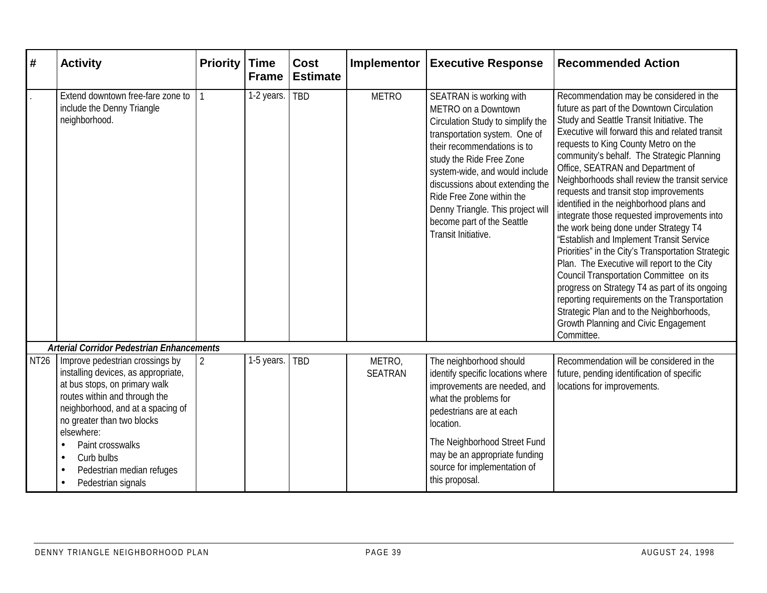| #           | <b>Activity</b>                                                                                                                                                                                                           | <b>Priority</b> | <b>Time</b><br><b>Frame</b> | <b>Cost</b><br><b>Estimate</b> | Implementor              | <b>Executive Response</b>                                                                                                                                                                                                                                                                                                                                                   | <b>Recommended Action</b>                                                                                                                                                                                                                                                                                                                                                                                                                                                                                                                                                                                                                                                                                                                                                                                                                                                                                                                        |
|-------------|---------------------------------------------------------------------------------------------------------------------------------------------------------------------------------------------------------------------------|-----------------|-----------------------------|--------------------------------|--------------------------|-----------------------------------------------------------------------------------------------------------------------------------------------------------------------------------------------------------------------------------------------------------------------------------------------------------------------------------------------------------------------------|--------------------------------------------------------------------------------------------------------------------------------------------------------------------------------------------------------------------------------------------------------------------------------------------------------------------------------------------------------------------------------------------------------------------------------------------------------------------------------------------------------------------------------------------------------------------------------------------------------------------------------------------------------------------------------------------------------------------------------------------------------------------------------------------------------------------------------------------------------------------------------------------------------------------------------------------------|
|             | Extend downtown free-fare zone to<br>include the Denny Triangle<br>neighborhood.                                                                                                                                          |                 | 1-2 years.                  | <b>TBD</b>                     | <b>METRO</b>             | SEATRAN is working with<br>METRO on a Downtown<br>Circulation Study to simplify the<br>transportation system. One of<br>their recommendations is to<br>study the Ride Free Zone<br>system-wide, and would include<br>discussions about extending the<br>Ride Free Zone within the<br>Denny Triangle. This project will<br>become part of the Seattle<br>Transit Initiative. | Recommendation may be considered in the<br>future as part of the Downtown Circulation<br>Study and Seattle Transit Initiative. The<br>Executive will forward this and related transit<br>requests to King County Metro on the<br>community's behalf. The Strategic Planning<br>Office, SEATRAN and Department of<br>Neighborhoods shall review the transit service<br>requests and transit stop improvements<br>identified in the neighborhood plans and<br>integrate those requested improvements into<br>the work being done under Strategy T4<br>"Establish and Implement Transit Service<br>Priorities" in the City's Transportation Strategic<br>Plan. The Executive will report to the City<br>Council Transportation Committee on its<br>progress on Strategy T4 as part of its ongoing<br>reporting requirements on the Transportation<br>Strategic Plan and to the Neighborhoods,<br>Growth Planning and Civic Engagement<br>Committee. |
|             | <b>Arterial Corridor Pedestrian Enhancements</b>                                                                                                                                                                          |                 |                             |                                |                          |                                                                                                                                                                                                                                                                                                                                                                             |                                                                                                                                                                                                                                                                                                                                                                                                                                                                                                                                                                                                                                                                                                                                                                                                                                                                                                                                                  |
| <b>NT26</b> | Improve pedestrian crossings by<br>installing devices, as appropriate,<br>at bus stops, on primary walk<br>routes within and through the<br>neighborhood, and at a spacing of<br>no greater than two blocks<br>elsewhere: | 2               | 1-5 years.                  | <b>TBD</b>                     | METRO,<br><b>SEATRAN</b> | The neighborhood should<br>identify specific locations where<br>improvements are needed, and<br>what the problems for<br>pedestrians are at each<br>location.                                                                                                                                                                                                               | Recommendation will be considered in the<br>future, pending identification of specific<br>locations for improvements.                                                                                                                                                                                                                                                                                                                                                                                                                                                                                                                                                                                                                                                                                                                                                                                                                            |
|             | Paint crosswalks<br>Curb bulbs<br>Pedestrian median refuges<br>Pedestrian signals                                                                                                                                         |                 |                             |                                |                          | The Neighborhood Street Fund<br>may be an appropriate funding<br>source for implementation of<br>this proposal.                                                                                                                                                                                                                                                             |                                                                                                                                                                                                                                                                                                                                                                                                                                                                                                                                                                                                                                                                                                                                                                                                                                                                                                                                                  |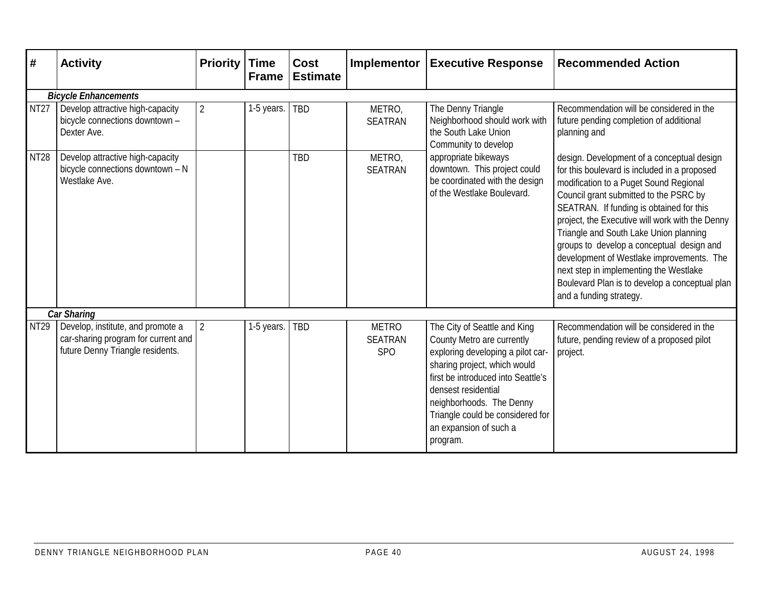| #           | <b>Activity</b>                                                                                              | <b>Priority</b> | <b>Time</b><br><b>Frame</b> | Cost<br><b>Estimate</b> | Implementor                                       | <b>Executive Response</b>                                                                                                                                                                                                                                                                          | <b>Recommended Action</b>                                                                                                                                                                                                                                                                                                                                                                                                                                                                                                                |  |  |  |
|-------------|--------------------------------------------------------------------------------------------------------------|-----------------|-----------------------------|-------------------------|---------------------------------------------------|----------------------------------------------------------------------------------------------------------------------------------------------------------------------------------------------------------------------------------------------------------------------------------------------------|------------------------------------------------------------------------------------------------------------------------------------------------------------------------------------------------------------------------------------------------------------------------------------------------------------------------------------------------------------------------------------------------------------------------------------------------------------------------------------------------------------------------------------------|--|--|--|
|             | <b>Bicycle Enhancements</b>                                                                                  |                 |                             |                         |                                                   |                                                                                                                                                                                                                                                                                                    |                                                                                                                                                                                                                                                                                                                                                                                                                                                                                                                                          |  |  |  |
| <b>NT27</b> | Develop attractive high-capacity<br>bicycle connections downtown -<br>Dexter Ave.                            | $\overline{2}$  | 1-5 years.                  | TBD                     | METRO,<br><b>SEATRAN</b>                          | The Denny Triangle<br>Neighborhood should work with<br>the South Lake Union<br>Community to develop                                                                                                                                                                                                | Recommendation will be considered in the<br>future pending completion of additional<br>planning and                                                                                                                                                                                                                                                                                                                                                                                                                                      |  |  |  |
| <b>NT28</b> | Develop attractive high-capacity<br>bicycle connections downtown - N<br>Westlake Ave.                        |                 |                             | TBD                     | METRO,<br><b>SEATRAN</b>                          | appropriate bikeways<br>downtown. This project could<br>be coordinated with the design<br>of the Westlake Boulevard.                                                                                                                                                                               | design. Development of a conceptual design<br>for this boulevard is included in a proposed<br>modification to a Puget Sound Regional<br>Council grant submitted to the PSRC by<br>SEATRAN. If funding is obtained for this<br>project, the Executive will work with the Denny<br>Triangle and South Lake Union planning<br>groups to develop a conceptual design and<br>development of Westlake improvements. The<br>next step in implementing the Westlake<br>Boulevard Plan is to develop a conceptual plan<br>and a funding strategy. |  |  |  |
|             | <b>Car Sharing</b>                                                                                           |                 |                             |                         |                                                   |                                                                                                                                                                                                                                                                                                    |                                                                                                                                                                                                                                                                                                                                                                                                                                                                                                                                          |  |  |  |
| <b>NT29</b> | Develop, institute, and promote a<br>car-sharing program for current and<br>future Denny Triangle residents. | $\overline{2}$  | 1-5 years.                  | <b>TBD</b>              | <b>METRO</b><br><b>SEATRAN</b><br>SP <sub>O</sub> | The City of Seattle and King<br>County Metro are currently<br>exploring developing a pilot car-<br>sharing project, which would<br>first be introduced into Seattle's<br>densest residential<br>neighborhoods. The Denny<br>Triangle could be considered for<br>an expansion of such a<br>program. | Recommendation will be considered in the<br>future, pending review of a proposed pilot<br>project.                                                                                                                                                                                                                                                                                                                                                                                                                                       |  |  |  |